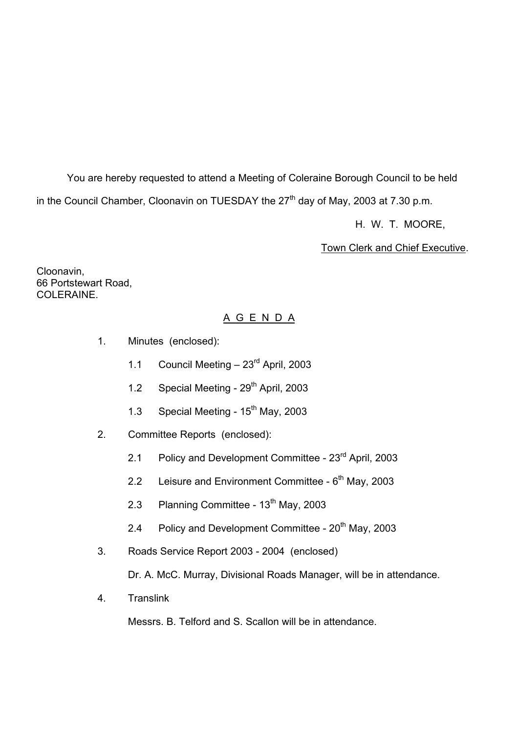You are hereby requested to attend a Meeting of Coleraine Borough Council to be held in the Council Chamber, Cloonavin on TUESDAY the  $27<sup>th</sup>$  day of May, 2003 at 7.30 p.m.

H. W. T. MOORE,

Town Clerk and Chief Executive.

Cloonavin, 66 Portstewart Road, COLERAINE.

# A G E N D A

- 1. Minutes (enclosed):
	- 1.1 Council Meeting  $-23<sup>rd</sup>$  April, 2003
	- 1.2 Special Meeting 29<sup>th</sup> April, 2003
	- 1.3 Special Meeting  $15<sup>th</sup>$  May, 2003
- 2. Committee Reports (enclosed):
	- 2.1 Policy and Development Committee 23<sup>rd</sup> April, 2003
	- 2.2 Leisure and Environment Committee  $6<sup>th</sup>$  May, 2003
	- 2.3 Planning Committee 13<sup>th</sup> May, 2003
	- 2.4 Policy and Development Committee  $20<sup>th</sup>$  May, 2003
- 3. Roads Service Report 2003 2004 (enclosed)

Dr. A. McC. Murray, Divisional Roads Manager, will be in attendance.

4. Translink

Messrs. B. Telford and S. Scallon will be in attendance.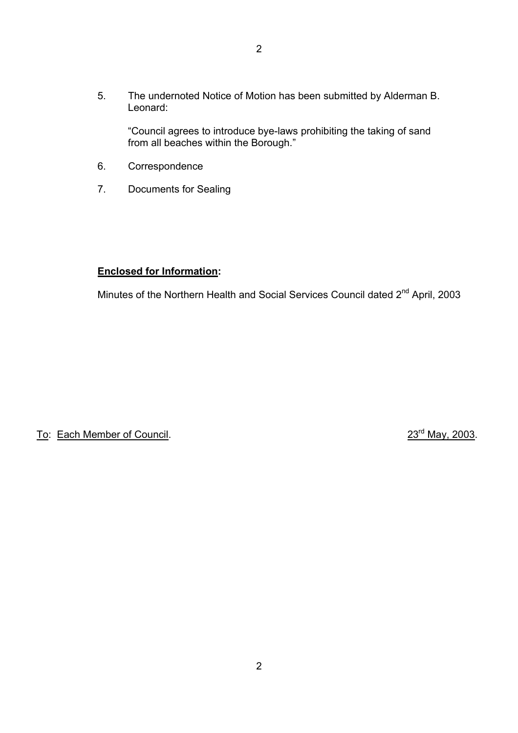5. The undernoted Notice of Motion has been submitted by Alderman B. Leonard:

 ìCouncil agrees to introduce bye-laws prohibiting the taking of sand from all beaches within the Borough."

- 6. Correspondence
- 7. Documents for Sealing

# **Enclosed for Information:**

Minutes of the Northern Health and Social Services Council dated 2<sup>nd</sup> April, 2003

To: Each Member of Council. 23<sup>rd</sup> May, 2003.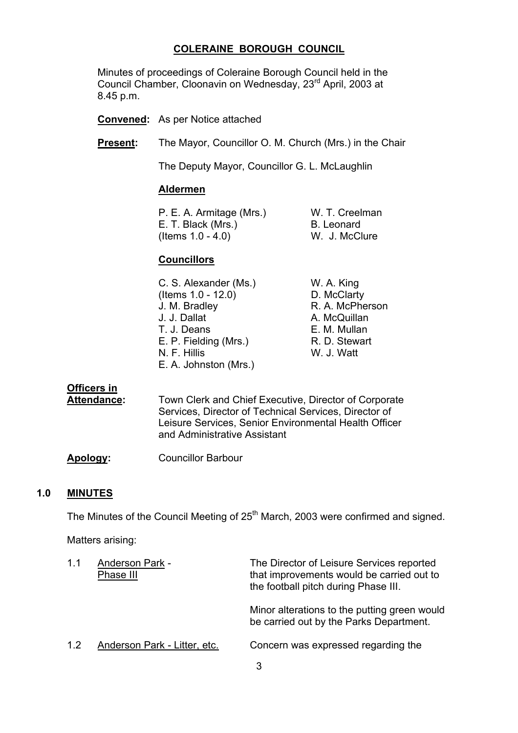# **COLERAINE BOROUGH COUNCIL**

 Minutes of proceedings of Coleraine Borough Council held in the Council Chamber, Cloonavin on Wednesday, 23rd April, 2003 at 8.45 p.m.

**Convened:** As per Notice attached

**Present:** The Mayor, Councillor O. M. Church (Mrs.) in the Chair

The Deputy Mayor, Councillor G. L. McLaughlin

#### **Aldermen**

P. E. A. Armitage (Mrs.) W. T. Creelman<br>E. T. Black (Mrs.) B. Leonard E. T. Black (Mrs.) (Items 1.0 - 4.0) W. J. McClure

#### **Councillors**

| W. A. King                                                                                                                                                       |
|------------------------------------------------------------------------------------------------------------------------------------------------------------------|
| D. McClarty                                                                                                                                                      |
| R. A. McPherson                                                                                                                                                  |
| A. McQuillan                                                                                                                                                     |
| E. M. Mullan                                                                                                                                                     |
| R. D. Stewart                                                                                                                                                    |
| W. J. Watt                                                                                                                                                       |
|                                                                                                                                                                  |
| C. S. Alexander (Ms.)<br>(Items $1.0 - 12.0$ )<br>J. M. Bradley<br>J. J. Dallat<br>T. J. Deans<br>E. P. Fielding (Mrs.)<br>N. F. Hillis<br>E. A. Johnston (Mrs.) |

# **Officers in**

 **Attendance:** Town Clerk and Chief Executive, Director of Corporate Services, Director of Technical Services, Director of Leisure Services, Senior Environmental Health Officer and Administrative Assistant

**Apology:** Councillor Barbour

#### **1.0 MINUTES**

The Minutes of the Council Meeting of 25<sup>th</sup> March, 2003 were confirmed and signed.

Matters arising:

| 1.1 | <b>Anderson Park -</b><br>Phase III | The Director of Leisure Services reported<br>that improvements would be carried out to<br>the football pitch during Phase III. |
|-----|-------------------------------------|--------------------------------------------------------------------------------------------------------------------------------|
|     |                                     | Minor alterations to the putting green would<br>be carried out by the Parks Department.                                        |
| 1.2 | Anderson Park - Litter, etc.        | Concern was expressed regarding the                                                                                            |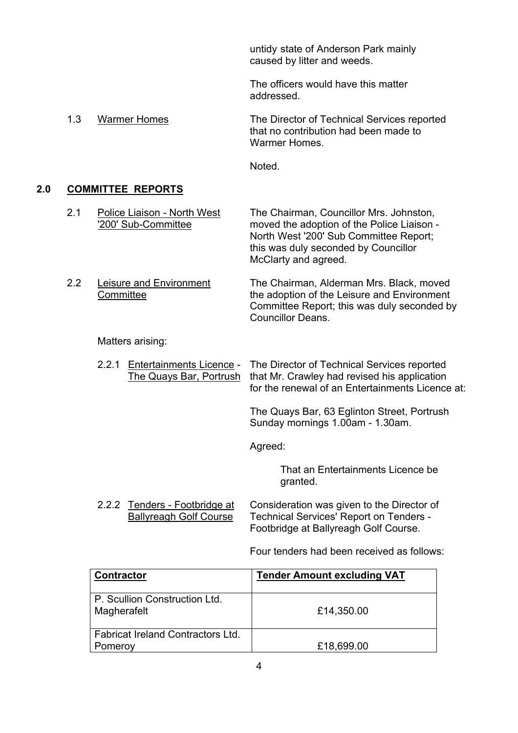untidy state of Anderson Park mainly caused by litter and weeds.

The officers would have this matter addressed.

 1.3 Warmer Homes The Director of Technical Services reported that no contribution had been made to Warmer Homes.

Noted.

# **2.0 COMMITTEE REPORTS**

2.1 Police Liaison - North West The Chairman, Councillor Mrs. Johnston,<br>200' Sub-Committee moved the adoption of the Police Liaison moved the adoption of the Police Liaison - North West '200' Sub Committee Report; this was duly seconded by Councillor

McClarty and agreed. 2.2 Leisure and Environment The Chairman, Alderman Mrs. Black, moved Committee **the adoption of the Leisure and Environment** Committee Report; this was duly seconded by

Matters arising:

 2.2.1 Entertainments Licence - The Director of Technical Services reported The Quays Bar, Portrush that Mr. Crawley had revised his application for the renewal of an Entertainments Licence at:

Councillor Deans.

 The Quays Bar, 63 Eglinton Street, Portrush Sunday mornings 1.00am - 1.30am.

Agreed:

 That an Entertainments Licence be granted.

 2.2.2 Tenders - Footbridge at Consideration was given to the Director of Ballyreagh Golf Course Technical Services' Report on Tenders -Footbridge at Ballyreagh Golf Course.

Four tenders had been received as follows:

| <b>Contractor</b>                            | <b>Tender Amount excluding VAT</b> |
|----------------------------------------------|------------------------------------|
| P. Scullion Construction Ltd.<br>Magherafelt | £14,350.00                         |
| <b>Fabricat Ireland Contractors Ltd.</b>     |                                    |
| Pomeroy                                      | £18,699.00                         |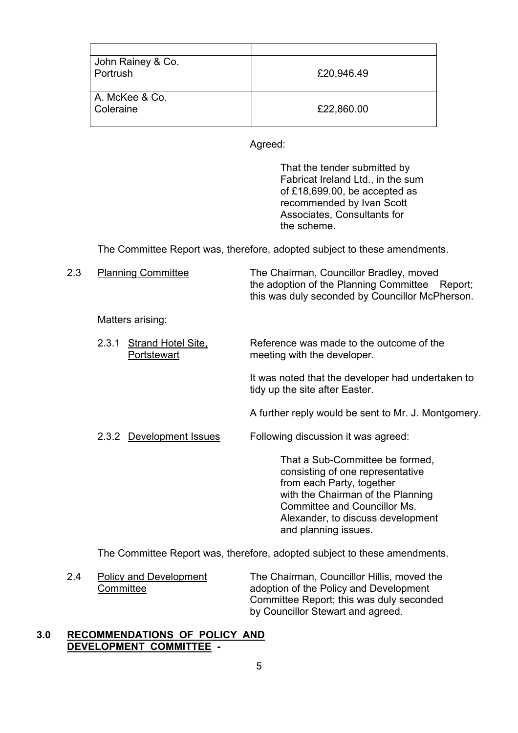| John Rainey & Co.<br>Portrush | £20,946.49 |
|-------------------------------|------------|
| A. McKee & Co.<br>Coleraine   | £22,860.00 |

Agreed:

 That the tender submitted by Fabricat Ireland Ltd., in the sum of £18,699.00, be accepted as recommended by Ivan Scott Associates, Consultants for the scheme.

The Committee Report was, therefore, adopted subject to these amendments.

2.3 Planning CommitteeThe Chairman, Councillor Bradley, moved the adoption of the Planning Committee Report; this was duly seconded by Councillor McPherson.

Matters arising:

2.3.1 Strand Hotel Site, Reference was made to the outcome of the Portstewart meeting with the developer.

It was noted that the developer had undertaken to tidy up the site after Easter.

A further reply would be sent to Mr. J. Montgomery.

2.3.2 Development Issues Following discussion it was agreed:

 That a Sub-Committee be formed, consisting of one representative from each Party, together with the Chairman of the Planning Committee and Councillor Ms. Alexander, to discuss development and planning issues.

The Committee Report was, therefore, adopted subject to these amendments.

 2.4 Policy and Development The Chairman, Councillor Hillis, moved the Committee adoption of the Policy and Development Committee Report; this was duly seconded by Councillor Stewart and agreed.

# **3.0 RECOMMENDATIONS OF POLICY AND DEVELOPMENT COMMITTEE -**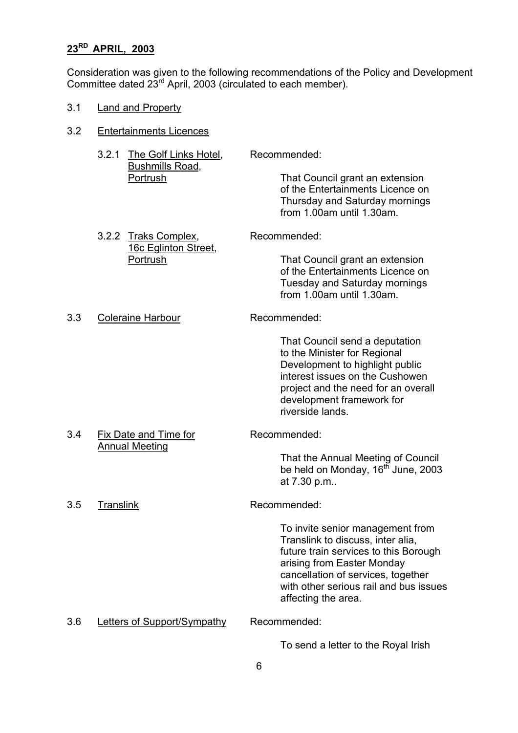# **23RD APRIL, 2003**

Consideration was given to the following recommendations of the Policy and Development Committee dated  $23^{rd}$  April, 2003 (circulated to each member).

3.1 Land and Property

| 3.2 | <b>Entertainments Licences</b>                                       |                                                                                                                                                                                                                                                                     |
|-----|----------------------------------------------------------------------|---------------------------------------------------------------------------------------------------------------------------------------------------------------------------------------------------------------------------------------------------------------------|
|     | The Golf Links Hotel,<br>3.2.1<br><b>Bushmills Road,</b><br>Portrush | Recommended:<br>That Council grant an extension<br>of the Entertainments Licence on<br>Thursday and Saturday mornings<br>from 1.00am until 1.30am.                                                                                                                  |
|     | 3.2.2 Traks Complex,<br>16c Eglinton Street,<br>Portrush             | Recommended:<br>That Council grant an extension<br>of the Entertainments Licence on<br><b>Tuesday and Saturday mornings</b><br>from 1.00am until 1.30am.                                                                                                            |
| 3.3 | <b>Coleraine Harbour</b>                                             | Recommended:<br>That Council send a deputation<br>to the Minister for Regional<br>Development to highlight public<br>interest issues on the Cushowen<br>project and the need for an overall<br>development framework for<br>riverside lands.                        |
| 3.4 | <b>Fix Date and Time for</b><br><b>Annual Meeting</b>                | Recommended:<br>That the Annual Meeting of Council<br>be held on Monday, 16 <sup>th</sup> June, 2003<br>at 7.30 p.m                                                                                                                                                 |
| 3.5 | <b>Translink</b>                                                     | Recommended:<br>To invite senior management from<br>Translink to discuss, inter alia,<br>future train services to this Borough<br>arising from Easter Monday<br>cancellation of services, together<br>with other serious rail and bus issues<br>affecting the area. |
| 3.6 | Letters of Support/Sympathy                                          | Recommended:<br>To send a letter to the Royal Irish                                                                                                                                                                                                                 |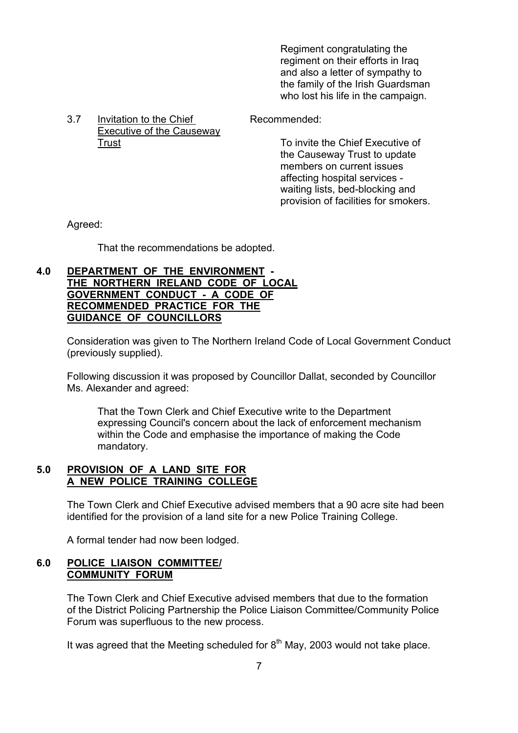Regiment congratulating the regiment on their efforts in Iraq and also a letter of sympathy to the family of the Irish Guardsman who lost his life in the campaign.

3.7 Invitation to the Chief Recommended: Executive of the Causeway

Trust Trust To invite the Chief Executive of the Causeway Trust to update members on current issues affecting hospital services waiting lists, bed-blocking and provision of facilities for smokers.

Agreed:

That the recommendations be adopted.

# **4.0 DEPARTMENT OF THE ENVIRONMENT - THE NORTHERN IRELAND CODE OF LOCAL GOVERNMENT CONDUCT - A CODE OF RECOMMENDED PRACTICE FOR THE GUIDANCE OF COUNCILLORS**

Consideration was given to The Northern Ireland Code of Local Government Conduct (previously supplied).

 Following discussion it was proposed by Councillor Dallat, seconded by Councillor Ms. Alexander and agreed:

 That the Town Clerk and Chief Executive write to the Department expressing Council's concern about the lack of enforcement mechanism within the Code and emphasise the importance of making the Code mandatory.

#### **5.0 PROVISION OF A LAND SITE FOR A NEW POLICE TRAINING COLLEGE**

 The Town Clerk and Chief Executive advised members that a 90 acre site had been identified for the provision of a land site for a new Police Training College.

A formal tender had now been lodged.

# **6.0 POLICE LIAISON COMMITTEE/ COMMUNITY FORUM**

 The Town Clerk and Chief Executive advised members that due to the formation of the District Policing Partnership the Police Liaison Committee/Community Police Forum was superfluous to the new process.

It was agreed that the Meeting scheduled for  $8<sup>th</sup>$  May, 2003 would not take place.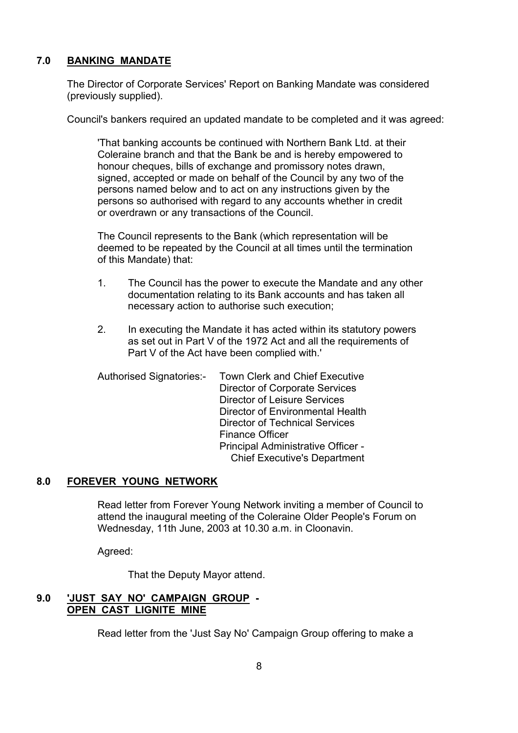# **7.0 BANKING MANDATE**

 The Director of Corporate Services' Report on Banking Mandate was considered (previously supplied).

Council's bankers required an updated mandate to be completed and it was agreed:

 'That banking accounts be continued with Northern Bank Ltd. at their Coleraine branch and that the Bank be and is hereby empowered to honour cheques, bills of exchange and promissory notes drawn, signed, accepted or made on behalf of the Council by any two of the persons named below and to act on any instructions given by the persons so authorised with regard to any accounts whether in credit or overdrawn or any transactions of the Council.

 The Council represents to the Bank (which representation will be deemed to be repeated by the Council at all times until the termination of this Mandate) that:

- 1. The Council has the power to execute the Mandate and any other documentation relating to its Bank accounts and has taken all necessary action to authorise such execution;
- 2. In executing the Mandate it has acted within its statutory powers as set out in Part V of the 1972 Act and all the requirements of Part V of the Act have been complied with.'

| <b>Authorised Signatories:-</b> | <b>Town Clerk and Chief Executive</b> |
|---------------------------------|---------------------------------------|
|                                 | Director of Corporate Services        |
|                                 | Director of Leisure Services          |
|                                 | Director of Environmental Health      |
|                                 | <b>Director of Technical Services</b> |
|                                 | <b>Finance Officer</b>                |
|                                 | Principal Administrative Officer -    |
|                                 | <b>Chief Executive's Department</b>   |
|                                 |                                       |

#### **8.0 FOREVER YOUNG NETWORK**

Read letter from Forever Young Network inviting a member of Council to attend the inaugural meeting of the Coleraine Older People's Forum on Wednesday, 11th June, 2003 at 10.30 a.m. in Cloonavin.

Agreed:

That the Deputy Mayor attend.

#### **9.0 'JUST SAY NO' CAMPAIGN GROUP - OPEN CAST LIGNITE MINE**

Read letter from the 'Just Say No' Campaign Group offering to make a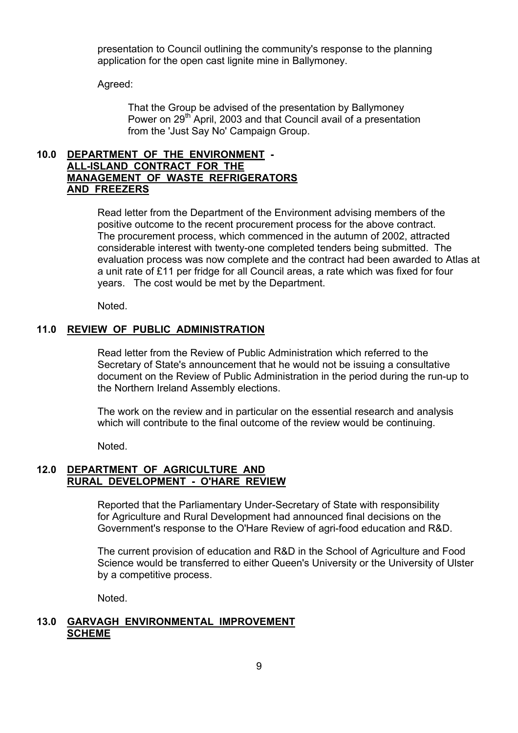presentation to Council outlining the community's response to the planning application for the open cast lignite mine in Ballymoney.

Agreed:

 That the Group be advised of the presentation by Ballymoney Power on 29<sup>th</sup> April, 2003 and that Council avail of a presentation from the 'Just Say No' Campaign Group.

## **10.0 DEPARTMENT OF THE ENVIRONMENT - ALL-ISLAND CONTRACT FOR THE MANAGEMENT OF WASTE REFRIGERATORS AND FREEZERS**

 Read letter from the Department of the Environment advising members of the positive outcome to the recent procurement process for the above contract. The procurement process, which commenced in the autumn of 2002, attracted considerable interest with twenty-one completed tenders being submitted. The evaluation process was now complete and the contract had been awarded to Atlas at a unit rate of £11 per fridge for all Council areas, a rate which was fixed for four years. The cost would be met by the Department.

Noted.

#### **11.0 REVIEW OF PUBLIC ADMINISTRATION**

 Read letter from the Review of Public Administration which referred to the Secretary of State's announcement that he would not be issuing a consultative document on the Review of Public Administration in the period during the run-up to the Northern Ireland Assembly elections.

The work on the review and in particular on the essential research and analysis which will contribute to the final outcome of the review would be continuing.

Noted.

# **12.0 DEPARTMENT OF AGRICULTURE AND RURAL DEVELOPMENT - O'HARE REVIEW**

 Reported that the Parliamentary Under-Secretary of State with responsibility for Agriculture and Rural Development had announced final decisions on the Government's response to the O'Hare Review of agri-food education and R&D.

The current provision of education and R&D in the School of Agriculture and Food Science would be transferred to either Queen's University or the University of Ulster by a competitive process.

Noted.

# **13.0 GARVAGH ENVIRONMENTAL IMPROVEMENT SCHEME**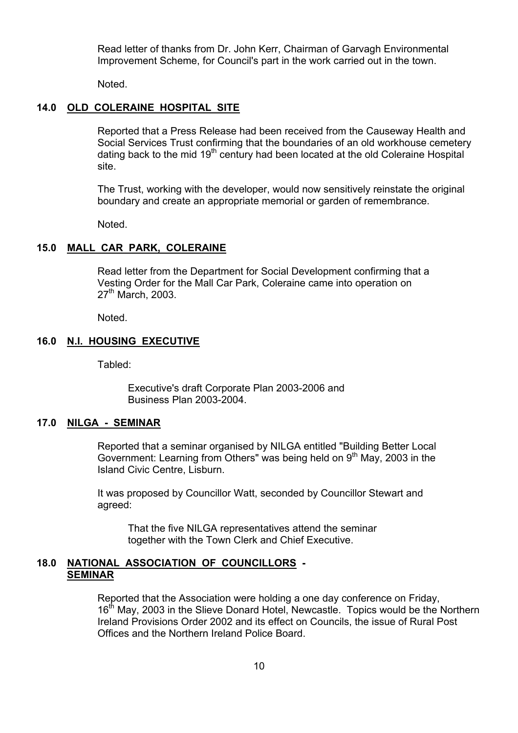Read letter of thanks from Dr. John Kerr, Chairman of Garvagh Environmental Improvement Scheme, for Council's part in the work carried out in the town.

Noted.

#### **14.0 OLD COLERAINE HOSPITAL SITE**

Reported that a Press Release had been received from the Causeway Health and Social Services Trust confirming that the boundaries of an old workhouse cemetery dating back to the mid  $19<sup>th</sup>$  century had been located at the old Coleraine Hospital site.

The Trust, working with the developer, would now sensitively reinstate the original boundary and create an appropriate memorial or garden of remembrance.

Noted.

#### **15.0 MALL CAR PARK, COLERAINE**

 Read letter from the Department for Social Development confirming that a Vesting Order for the Mall Car Park, Coleraine came into operation on 27<sup>th</sup> March, 2003.

Noted.

#### **16.0 N.I. HOUSING EXECUTIVE**

Tabled:

 Executive's draft Corporate Plan 2003-2006 and Business Plan 2003-2004.

#### **17.0 NILGA - SEMINAR**

 Reported that a seminar organised by NILGA entitled "Building Better Local Government: Learning from Others" was being held on 9<sup>th</sup> May, 2003 in the Island Civic Centre, Lisburn.

 It was proposed by Councillor Watt, seconded by Councillor Stewart and agreed:

 That the five NILGA representatives attend the seminar together with the Town Clerk and Chief Executive.

#### **18.0 NATIONAL ASSOCIATION OF COUNCILLORS - SEMINAR**

 Reported that the Association were holding a one day conference on Friday, 16<sup>th</sup> May, 2003 in the Slieve Donard Hotel, Newcastle. Topics would be the Northern Ireland Provisions Order 2002 and its effect on Councils, the issue of Rural Post Offices and the Northern Ireland Police Board.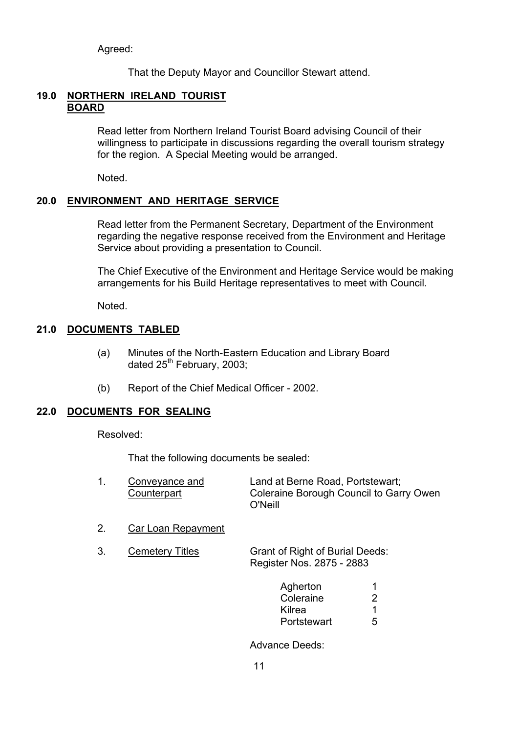Agreed:

That the Deputy Mayor and Councillor Stewart attend.

# **19.0 NORTHERN IRELAND TOURIST BOARD**

 Read letter from Northern Ireland Tourist Board advising Council of their willingness to participate in discussions regarding the overall tourism strategy for the region. A Special Meeting would be arranged.

Noted.

# **20.0 ENVIRONMENT AND HERITAGE SERVICE**

 Read letter from the Permanent Secretary, Department of the Environment regarding the negative response received from the Environment and Heritage Service about providing a presentation to Council.

 The Chief Executive of the Environment and Heritage Service would be making arrangements for his Build Heritage representatives to meet with Council.

Noted.

# **21.0 DOCUMENTS TABLED**

- (a) Minutes of the North-Eastern Education and Library Board dated  $25<sup>th</sup>$  February, 2003;
- (b) Report of the Chief Medical Officer 2002.

# **22.0 DOCUMENTS FOR SEALING**

Resolved:

That the following documents be sealed:

| Conveyance and | Land at Berne Road, Portstewart;        |
|----------------|-----------------------------------------|
| Counterpart    | Coleraine Borough Council to Garry Owen |
|                | O'Neill                                 |

2. Car Loan Repayment

| <b>Cemetery Titles</b> | <b>Grant of Right of Burial Deeds:</b> |
|------------------------|----------------------------------------|
|                        | Register Nos. 2875 - 2883              |

| Agherton    |   |
|-------------|---|
| Coleraine   | ົ |
| Kilrea      |   |
| Portstewart | 5 |

Advance Deeds: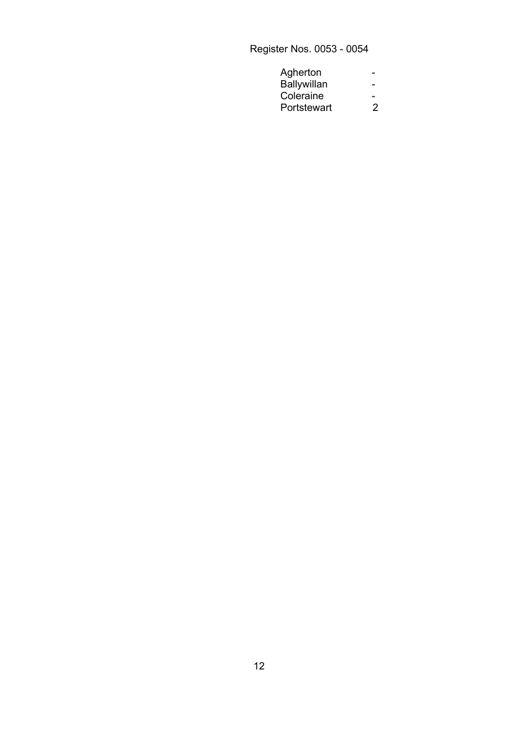Register Nos. 0053 - 0054

| Agherton<br>-                           |
|-----------------------------------------|
| Ballywillan<br>$\overline{\phantom{0}}$ |
| Coleraine                               |
| Portstewart                             |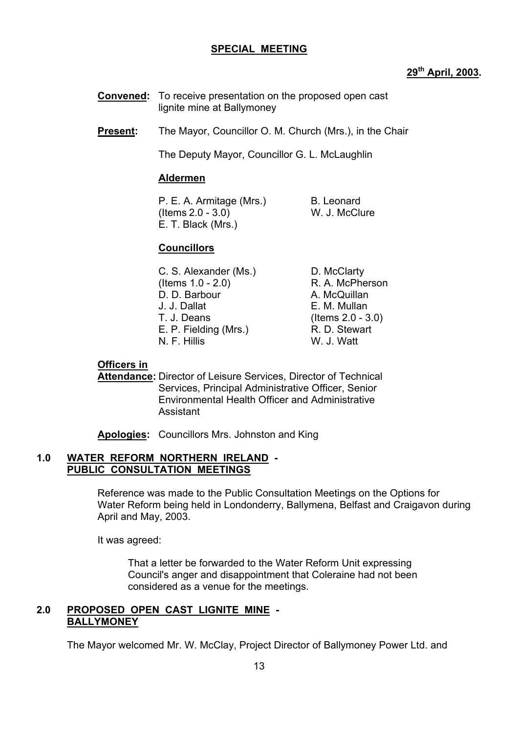# **SPECIAL MEETING**

# **29th April, 2003.**

- **Convened:** To receive presentation on the proposed open cast lignite mine at Ballymoney
- **Present:** The Mayor, Councillor O. M. Church (Mrs.), in the Chair

The Deputy Mayor, Councillor G. L. McLaughlin

#### **Aldermen**

P. E. A. Armitage (Mrs.) B. Leonard (Items 2.0 - 3.0) W. J. McClure E. T. Black (Mrs.)

# **Councillors**

C. S. Alexander (Ms.) D. McClarty (Items 1.0 - 2.0) R. A. McPherson D. D. Barbour A. McQuillan J. J. Dallat E. M. Mullan T. J. Deans (Items 2.0 - 3.0) E. P. Fielding (Mrs.) R. D. Stewart N. F. Hillis W. J. Watt

# **Officers in**

 **Attendance:** Director of Leisure Services, Director of Technical Services, Principal Administrative Officer, Senior Environmental Health Officer and Administrative Assistant

**Apologies:** Councillors Mrs. Johnston and King

#### **1.0 WATER REFORM NORTHERN IRELAND - PUBLIC CONSULTATION MEETINGS**

 Reference was made to the Public Consultation Meetings on the Options for Water Reform being held in Londonderry, Ballymena, Belfast and Craigavon during April and May, 2003.

It was agreed:

 That a letter be forwarded to the Water Reform Unit expressing Council's anger and disappointment that Coleraine had not been considered as a venue for the meetings.

# **2.0 PROPOSED OPEN CAST LIGNITE MINE - BALLYMONEY**

The Mayor welcomed Mr. W. McClay, Project Director of Ballymoney Power Ltd. and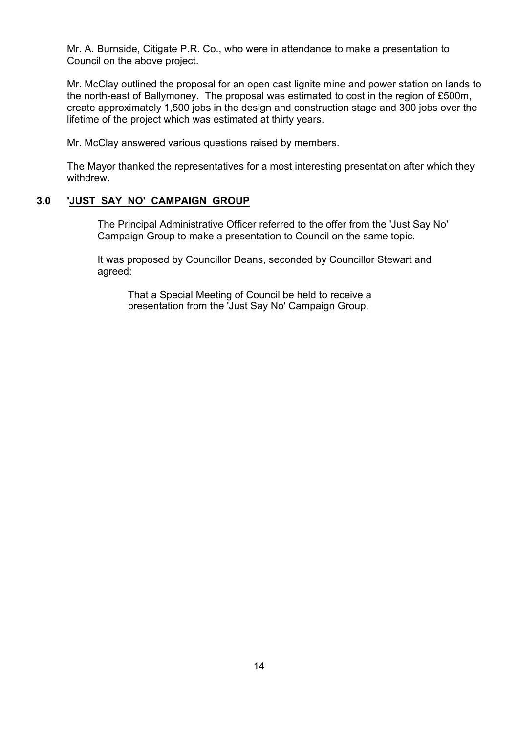Mr. A. Burnside, Citigate P.R. Co., who were in attendance to make a presentation to Council on the above project.

 Mr. McClay outlined the proposal for an open cast lignite mine and power station on lands to the north-east of Ballymoney. The proposal was estimated to cost in the region of £500m, create approximately 1,500 jobs in the design and construction stage and 300 jobs over the lifetime of the project which was estimated at thirty years.

Mr. McClay answered various questions raised by members.

 The Mayor thanked the representatives for a most interesting presentation after which they withdrew.

# **3.0 'JUST SAY NO' CAMPAIGN GROUP**

 The Principal Administrative Officer referred to the offer from the 'Just Say No' Campaign Group to make a presentation to Council on the same topic.

 It was proposed by Councillor Deans, seconded by Councillor Stewart and agreed:

 That a Special Meeting of Council be held to receive a presentation from the 'Just Say No' Campaign Group.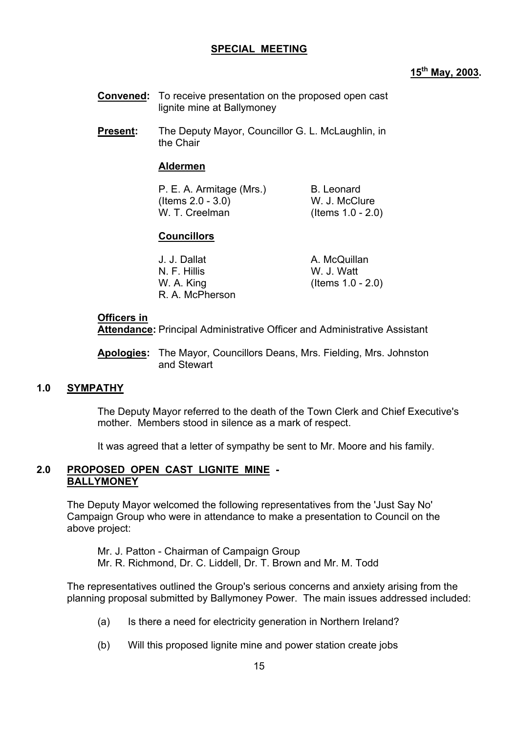# **SPECIAL MEETING**

# **15th May, 2003.**

- **Convened:** To receive presentation on the proposed open cast lignite mine at Ballymoney
- **Present:** The Deputy Mayor, Councillor G. L. McLaughlin, in the Chair

# **Aldermen**

| P. E. A. Armitage (Mrs.) | B. Leonard           |
|--------------------------|----------------------|
| (Items $2.0 - 3.0$ )     | W. J. McClure        |
| W. T. Creelman           | (Items $1.0 - 2.0$ ) |

# **Councillors**

| J. J. Dallat    | A. McQuillan         |
|-----------------|----------------------|
| N. F. Hillis    | W. J. Watt           |
| W. A. King      | (Items $1.0 - 2.0$ ) |
| R. A. McPherson |                      |

#### **Officers in**

 **Attendance:** Principal Administrative Officer and Administrative Assistant

 **Apologies:** The Mayor, Councillors Deans, Mrs. Fielding, Mrs. Johnston and Stewart

#### **1.0 SYMPATHY**

 The Deputy Mayor referred to the death of the Town Clerk and Chief Executive's mother. Members stood in silence as a mark of respect.

It was agreed that a letter of sympathy be sent to Mr. Moore and his family.

# **2.0 PROPOSED OPEN CAST LIGNITE MINE - BALLYMONEY**

 The Deputy Mayor welcomed the following representatives from the 'Just Say No' Campaign Group who were in attendance to make a presentation to Council on the above project:

 Mr. J. Patton - Chairman of Campaign Group Mr. R. Richmond, Dr. C. Liddell, Dr. T. Brown and Mr. M. Todd

The representatives outlined the Group's serious concerns and anxiety arising from the planning proposal submitted by Ballymoney Power. The main issues addressed included:

- (a) Is there a need for electricity generation in Northern Ireland?
- (b) Will this proposed lignite mine and power station create jobs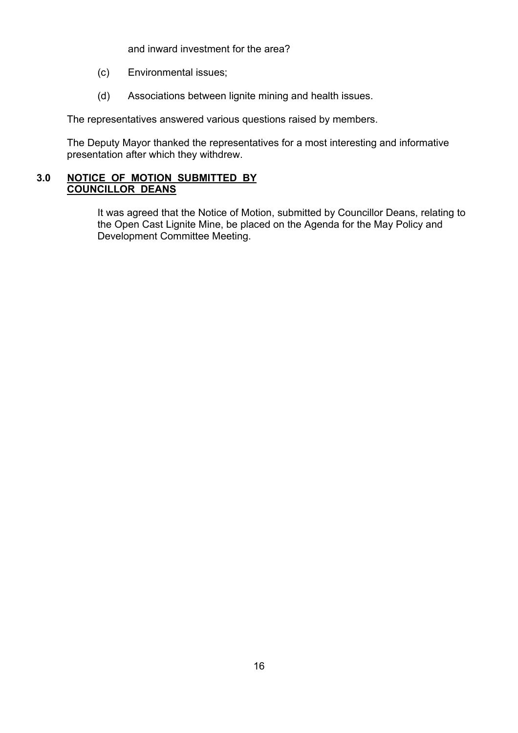and inward investment for the area?

- (c) Environmental issues;
- (d) Associations between lignite mining and health issues.

The representatives answered various questions raised by members.

The Deputy Mayor thanked the representatives for a most interesting and informative presentation after which they withdrew.

# **3.0 NOTICE OF MOTION SUBMITTED BY COUNCILLOR DEANS**

 It was agreed that the Notice of Motion, submitted by Councillor Deans, relating to the Open Cast Lignite Mine, be placed on the Agenda for the May Policy and Development Committee Meeting.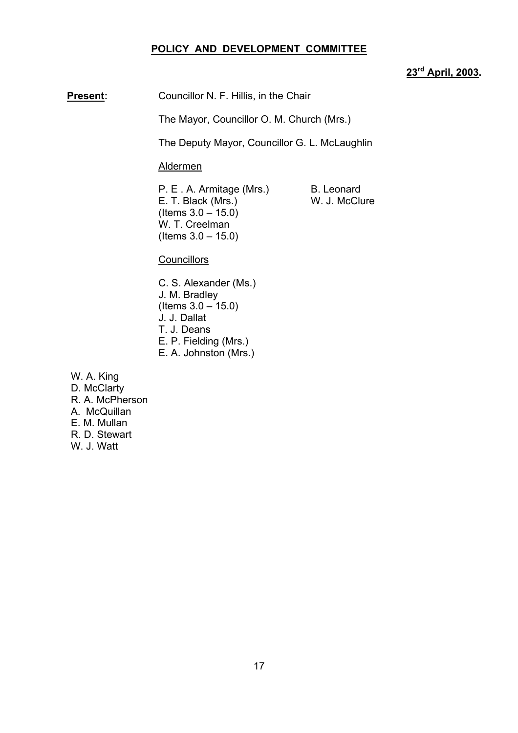## **POLICY AND DEVELOPMENT COMMITTEE**

# **23rd April, 2003.**

**Present:** Councillor N. F. Hillis, in the Chair

The Mayor, Councillor O. M. Church (Mrs.)

The Deputy Mayor, Councillor G. L. McLaughlin

Aldermen

P. E. A. Armitage (Mrs.) B. Leonard E. T. Black (Mrs.) W. J. McClure  $($  ltems  $3.0 - 15.0)$ W. T. Creelman  $($  Items  $3.0 - 15.0)$ 

**Councillors** 

- C. S. Alexander (Ms.) J. M. Bradley  $($  ltems  $3.0 - 15.0)$ J. J. Dallat T. J. Deans E. P. Fielding (Mrs.) E. A. Johnston (Mrs.)
- W. A. King
- D. McClarty R. A. McPherson A. McQuillan E. M. Mullan R. D. Stewart W. J. Watt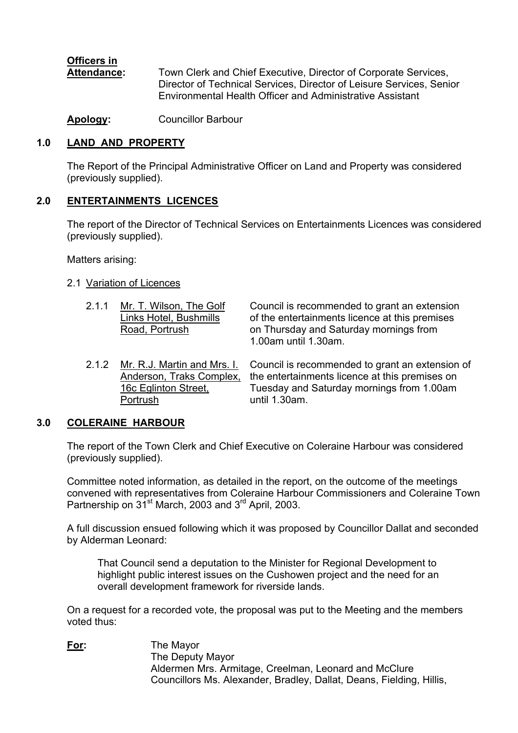# **Officers in**

 **Attendance:** Town Clerk and Chief Executive, Director of Corporate Services, Director of Technical Services, Director of Leisure Services, Senior Environmental Health Officer and Administrative Assistant

**Apology:** Councillor Barbour

# **1.0 LAND AND PROPERTY**

 The Report of the Principal Administrative Officer on Land and Property was considered (previously supplied).

# **2.0 ENTERTAINMENTS LICENCES**

 The report of the Director of Technical Services on Entertainments Licences was considered (previously supplied).

Matters arising:

# 2.1 Variation of Licences

- 
- Portrush until 1.30am.

2.1.1 Mr. T. Wilson, The Golf Council is recommended to grant an extension Links Hotel, Bushmills of the entertainments licence at this premises Road, Portrush on Thursday and Saturday mornings from 1.00am until 1.30am.

2.1.2 Mr. R.J. Martin and Mrs. I. Council is recommended to grant an extension of Anderson, Traks Complex, the entertainments licence at this premises on the entertainments licence at this premises on 16c Eglinton Street, Tuesday and Saturday mornings from 1.00am

# **3.0 COLERAINE HARBOUR**

The report of the Town Clerk and Chief Executive on Coleraine Harbour was considered (previously supplied).

Committee noted information, as detailed in the report, on the outcome of the meetings convened with representatives from Coleraine Harbour Commissioners and Coleraine Town Partnership on  $31^{st}$  March, 2003 and  $3^{rd}$  April, 2003.

A full discussion ensued following which it was proposed by Councillor Dallat and seconded by Alderman Leonard:

 That Council send a deputation to the Minister for Regional Development to highlight public interest issues on the Cushowen project and the need for an overall development framework for riverside lands.

On a request for a recorded vote, the proposal was put to the Meeting and the members voted thus:

**For:** The Mayor The Deputy Mayor Aldermen Mrs. Armitage, Creelman, Leonard and McClure Councillors Ms. Alexander, Bradley, Dallat, Deans, Fielding, Hillis,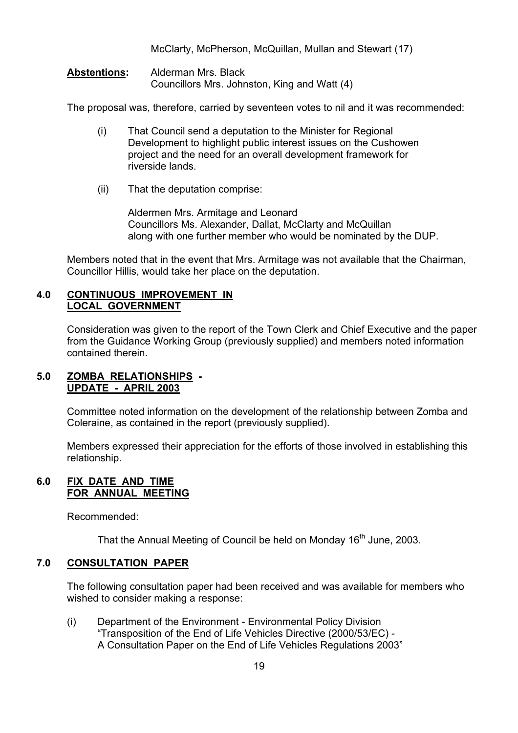McClarty, McPherson, McQuillan, Mullan and Stewart (17)

**Abstentions:** Alderman Mrs. Black Councillors Mrs. Johnston, King and Watt (4)

The proposal was, therefore, carried by seventeen votes to nil and it was recommended:

- (i) That Council send a deputation to the Minister for Regional Development to highlight public interest issues on the Cushowen project and the need for an overall development framework for riverside lands.
- (ii) That the deputation comprise:

Aldermen Mrs. Armitage and Leonard Councillors Ms. Alexander, Dallat, McClarty and McQuillan along with one further member who would be nominated by the DUP.

Members noted that in the event that Mrs. Armitage was not available that the Chairman, Councillor Hillis, would take her place on the deputation.

## **4.0 CONTINUOUS IMPROVEMENT IN LOCAL GOVERNMENT**

Consideration was given to the report of the Town Clerk and Chief Executive and the paper from the Guidance Working Group (previously supplied) and members noted information contained therein.

# **5.0 ZOMBA RELATIONSHIPS - UPDATE - APRIL 2003**

Committee noted information on the development of the relationship between Zomba and Coleraine, as contained in the report (previously supplied).

Members expressed their appreciation for the efforts of those involved in establishing this relationship.

# **6.0 FIX DATE AND TIME FOR ANNUAL MEETING**

Recommended:

That the Annual Meeting of Council be held on Monday 16<sup>th</sup> June, 2003.

## **7.0 CONSULTATION PAPER**

The following consultation paper had been received and was available for members who wished to consider making a response:

 (i) Department of the Environment - Environmental Policy Division ìTransposition of the End of Life Vehicles Directive (2000/53/EC) - A Consultation Paper on the End of Life Vehicles Regulations 2003<sup>"</sup>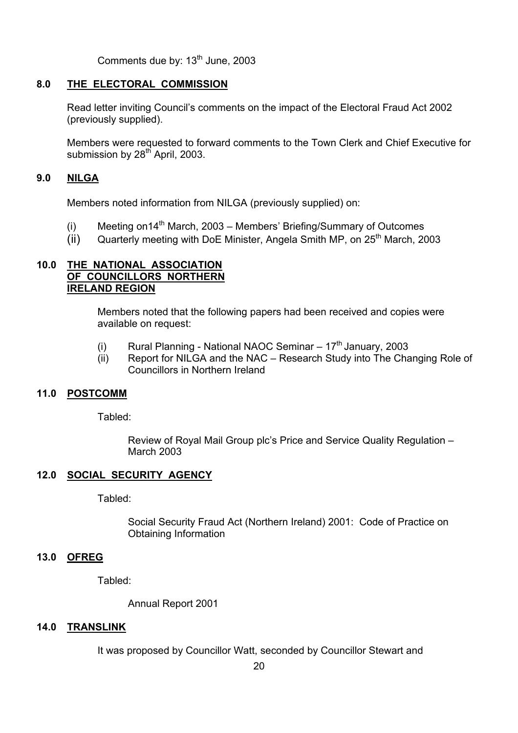Comments due by:  $13<sup>th</sup>$  June, 2003

# **8.0 THE ELECTORAL COMMISSION**

Read letter inviting Council's comments on the impact of the Electoral Fraud Act 2002 (previously supplied).

Members were requested to forward comments to the Town Clerk and Chief Executive for submission by  $28<sup>th</sup>$  April, 2003.

# **9.0 NILGA**

Members noted information from NILGA (previously supplied) on:

- (i) Meeting on  $14<sup>th</sup>$  March, 2003 Members' Briefing/Summary of Outcomes
- (ii) Quarterly meeting with DoE Minister, Angela Smith MP, on  $25<sup>th</sup>$  March, 2003

# **10.0 THE NATIONAL ASSOCIATION OF COUNCILLORS NORTHERN IRELAND REGION**

 Members noted that the following papers had been received and copies were available on request:

- (i) Rural Planning National NAOC Seminar  $-17<sup>th</sup>$  January, 2003
- (ii) Report for NILGA and the NAC  $-$  Research Study into The Changing Role of Councillors in Northern Ireland

# **11.0 POSTCOMM**

Tabled:

Review of Royal Mail Group plc's Price and Service Quality Regulation -March 2003

# **12.0 SOCIAL SECURITY AGENCY**

Tabled:

 Social Security Fraud Act (Northern Ireland) 2001: Code of Practice on Obtaining Information

#### **13.0 OFREG**

Tabled:

Annual Report 2001

#### **14.0 TRANSLINK**

It was proposed by Councillor Watt, seconded by Councillor Stewart and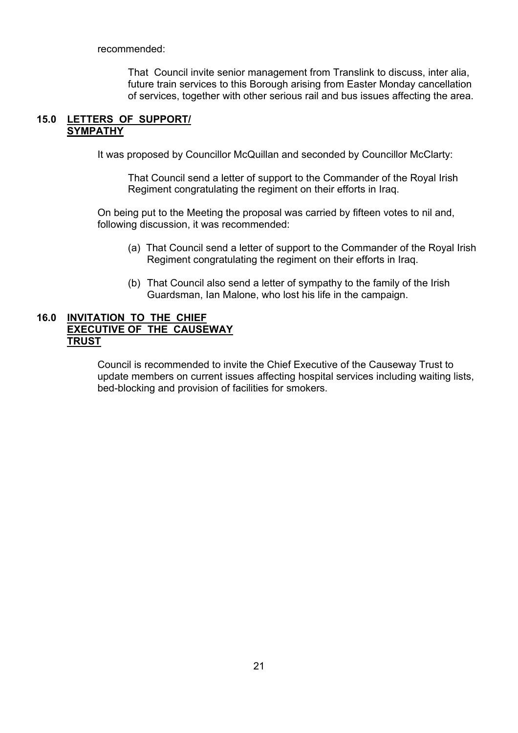recommended:

 That Council invite senior management from Translink to discuss, inter alia, future train services to this Borough arising from Easter Monday cancellation of services, together with other serious rail and bus issues affecting the area.

## **15.0 LETTERS OF SUPPORT/ SYMPATHY**

It was proposed by Councillor McQuillan and seconded by Councillor McClarty:

 That Council send a letter of support to the Commander of the Royal Irish Regiment congratulating the regiment on their efforts in Iraq.

 On being put to the Meeting the proposal was carried by fifteen votes to nil and, following discussion, it was recommended:

- (a) That Council send a letter of support to the Commander of the Royal Irish Regiment congratulating the regiment on their efforts in Iraq.
- (b) That Council also send a letter of sympathy to the family of the Irish Guardsman, Ian Malone, who lost his life in the campaign.

## **16.0 INVITATION TO THE CHIEF EXECUTIVE OF THE CAUSEWAY TRUST**

 Council is recommended to invite the Chief Executive of the Causeway Trust to update members on current issues affecting hospital services including waiting lists, bed-blocking and provision of facilities for smokers.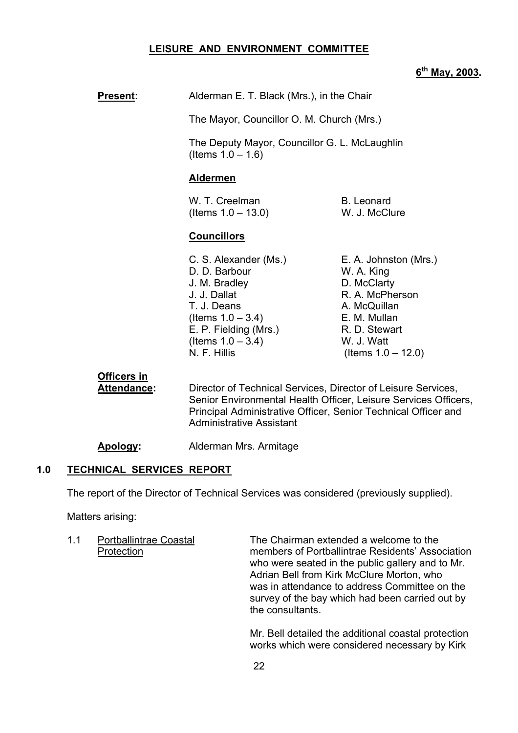#### **LEISURE AND ENVIRONMENT COMMITTEE**

# **6th May, 2003.**

| <b>Present:</b> | Alderman E. T. Black (Mrs.), in the Chair |
|-----------------|-------------------------------------------|
|-----------------|-------------------------------------------|

The Mayor, Councillor O. M. Church (Mrs.)

 The Deputy Mayor, Councillor G. L. McLaughlin  $($  Items  $1.0 - 1.6)$ 

#### **Aldermen**

W. T. Creelman B. Leonard  $($  Items  $1.0 - 13.0)$  W. J. McClure

#### **Councillors**

- D. D. Barbour W. A. King J. M. Bradley D. McClarty J. J. Dallat R. A. McPherson T. J. Deans **A. McQuillan**  $($ ltems  $1.0 - 3.4)$  E. M. Mullan E. P. Fielding (Mrs.) R. D. Stewart  $($  Items  $1.0 - 3.4)$  W. J. Watt N. F. Hillis (Items  $1.0 - 12.0$ )
- C. S. Alexander (Ms.) E. A. Johnston (Mrs.)

#### **Officers in**

 **Attendance:** Director of Technical Services, Director of Leisure Services, Senior Environmental Health Officer, Leisure Services Officers, Principal Administrative Officer, Senior Technical Officer and Administrative Assistant

**Apology:** Alderman Mrs. Armitage

#### **1.0 TECHNICAL SERVICES REPORT**

The report of the Director of Technical Services was considered (previously supplied).

Matters arising:

 1.1 Portballintrae Coastal The Chairman extended a welcome to the Protection members of Portballintrae Residentsí Association who were seated in the public gallery and to Mr. Adrian Bell from Kirk McClure Morton, who was in attendance to address Committee on the survey of the bay which had been carried out by the consultants.

> Mr. Bell detailed the additional coastal protection works which were considered necessary by Kirk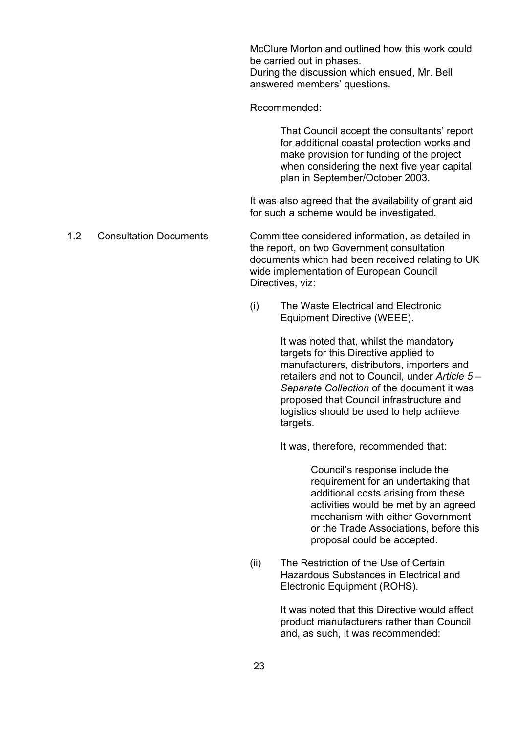McClure Morton and outlined how this work could be carried out in phases. During the discussion which ensued, Mr. Bell answered members' questions.

Recommended:

That Council accept the consultants' report for additional coastal protection works and make provision for funding of the project when considering the next five year capital plan in September/October 2003.

 It was also agreed that the availability of grant aid for such a scheme would be investigated.

 1.2 Consultation Documents Committee considered information, as detailed in the report, on two Government consultation documents which had been received relating to UK wide implementation of European Council Directives, viz:

> (i) The Waste Electrical and Electronic Equipment Directive (WEEE).

> > It was noted that, whilst the mandatory targets for this Directive applied to manufacturers, distributors, importers and retailers and not to Council, under *Article 5 -Separate Collection* of the document it was proposed that Council infrastructure and logistics should be used to help achieve targets.

It was, therefore, recommended that:

Council's response include the requirement for an undertaking that additional costs arising from these activities would be met by an agreed mechanism with either Government or the Trade Associations, before this proposal could be accepted.

(ii) The Restriction of the Use of Certain Hazardous Substances in Electrical and Electronic Equipment (ROHS).

> It was noted that this Directive would affect product manufacturers rather than Council and, as such, it was recommended: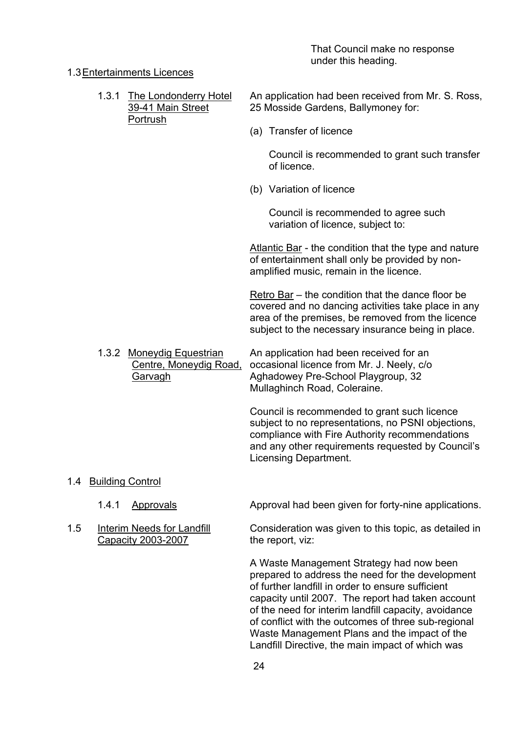That Council make no response under this heading.

#### 1.3 Entertainments Licences

Portrush

1.3.1 The Londonderry Hotel An application had been received from Mr. S. Ross, 39-41 Main Street 25 Mosside Gardens, Ballymoney for:

(a) Transfer of licence

 Council is recommended to grant such transfer of licence.

(b) Variation of licence

 Council is recommended to agree such variation of licence, subject to:

Atlantic Bar - the condition that the type and nature of entertainment shall only be provided by nonamplified music, remain in the licence.

Retro Bar  $-$  the condition that the dance floor be covered and no dancing activities take place in any area of the premises, be removed from the licence subject to the necessary insurance being in place.

1.3.2 Moneydig Equestrian An application had been received for an Centre, Moneydig Road, occasional licence from Mr. J. Neely, c/o Garvagh Aghadowey Pre-School Playgroup, 32 Mullaghinch Road, Coleraine.

> Council is recommended to grant such licence subject to no representations, no PSNI objections, compliance with Fire Authority recommendations and any other requirements requested by Council's Licensing Department.

- 1.4 Building Control
	-
- Capacity 2003-2007 the report, viz:

1.4.1 Approvals Approval had been given for forty-nine applications.

1.5 Interim Needs for Landfill Consideration was given to this topic, as detailed in

A Waste Management Strategy had now been prepared to address the need for the development of further landfill in order to ensure sufficient capacity until 2007. The report had taken account of the need for interim landfill capacity, avoidance of conflict with the outcomes of three sub-regional Waste Management Plans and the impact of the Landfill Directive, the main impact of which was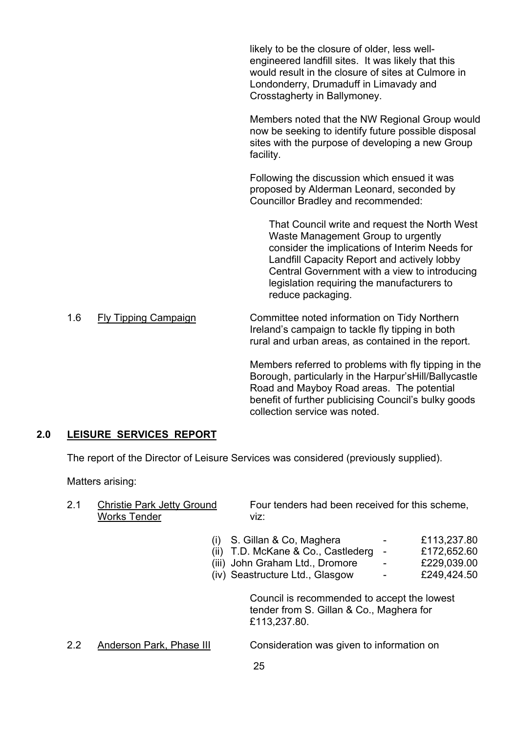likely to be the closure of older, less wellengineered landfill sites. It was likely that this would result in the closure of sites at Culmore in Londonderry, Drumaduff in Limavady and Crosstagherty in Ballymoney.

Members noted that the NW Regional Group would now be seeking to identify future possible disposal sites with the purpose of developing a new Group facility.

Following the discussion which ensued it was proposed by Alderman Leonard, seconded by Councillor Bradley and recommended:

 That Council write and request the North West Waste Management Group to urgently consider the implications of Interim Needs for Landfill Capacity Report and actively lobby Central Government with a view to introducing legislation requiring the manufacturers to reduce packaging.

1.6 Fly Tipping Campaign Committee noted information on Tidy Northern Ireland's campaign to tackle fly tipping in both rural and urban areas, as contained in the report.

> Members referred to problems with fly tipping in the Borough, particularly in the Harpur's Hill/Ballycastle Road and Mayboy Road areas. The potential benefit of further publicising Council's bulky goods collection service was noted.

# **2.0 LEISURE SERVICES REPORT**

The report of the Director of Leisure Services was considered (previously supplied).

Matters arising:

Works Tender viz:

2.1 Christie Park Jetty Ground Four tenders had been received for this scheme,

- (i) S. Gillan & Co, Maghera  $\qquad \qquad -$  £113,237.80
- $(iii)$  T.D. McKane & Co., Castlederg £172,652.60
- $(iii)$  John Graham Ltd., Dromore  $\overline{229.039.00}$
- (iv) Seastructure Ltd., Glasgow £249,424.50

 Council is recommended to accept the lowest tender from S. Gillan & Co., Maghera for £113,237.80.

2.2 Anderson Park, Phase III Consideration was given to information on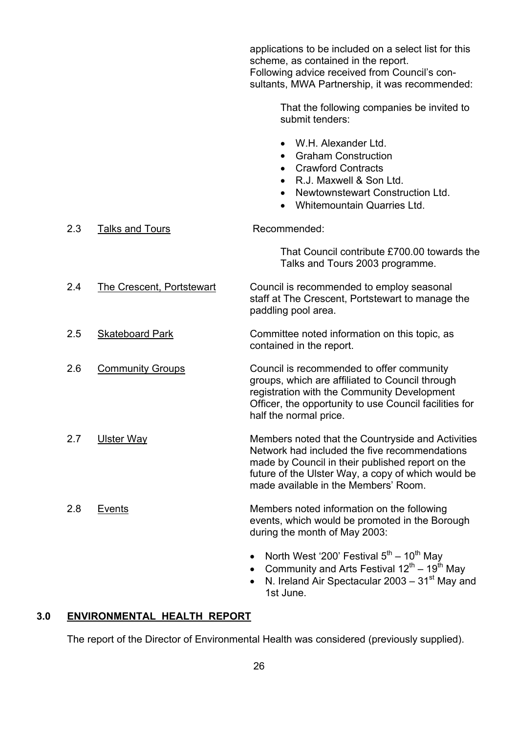|     |                                  | applications to be included on a select list for this<br>scheme, as contained in the report.<br>Following advice received from Council's con-<br>sultants, MWA Partnership, it was recommended:                                                      |
|-----|----------------------------------|------------------------------------------------------------------------------------------------------------------------------------------------------------------------------------------------------------------------------------------------------|
|     |                                  | That the following companies be invited to<br>submit tenders:                                                                                                                                                                                        |
|     |                                  | W.H. Alexander Ltd.<br><b>Graham Construction</b><br>$\bullet$<br><b>Crawford Contracts</b><br>$\bullet$<br>R.J. Maxwell & Son Ltd.<br>$\bullet$<br>Newtownstewart Construction Ltd.<br>$\bullet$<br>Whitemountain Quarries Ltd.                     |
| 2.3 | <b>Talks and Tours</b>           | Recommended:                                                                                                                                                                                                                                         |
|     |                                  | That Council contribute £700.00 towards the<br>Talks and Tours 2003 programme.                                                                                                                                                                       |
| 2.4 | <b>The Crescent, Portstewart</b> | Council is recommended to employ seasonal<br>staff at The Crescent, Portstewart to manage the<br>paddling pool area.                                                                                                                                 |
| 2.5 | <b>Skateboard Park</b>           | Committee noted information on this topic, as<br>contained in the report.                                                                                                                                                                            |
| 2.6 | <b>Community Groups</b>          | Council is recommended to offer community<br>groups, which are affiliated to Council through<br>registration with the Community Development<br>Officer, the opportunity to use Council facilities for<br>half the normal price.                      |
| 2.7 | <b>Ulster Way</b>                | Members noted that the Countryside and Activities<br>Network had included the five recommendations<br>made by Council in their published report on the<br>future of the Ulster Way, a copy of which would be<br>made available in the Members' Room. |
| 2.8 | Events                           | Members noted information on the following<br>events, which would be promoted in the Borough<br>during the month of May 2003:                                                                                                                        |
|     |                                  | North West '200' Festival $5^{\text{th}} - 10^{\text{th}}$ May<br>Community and Arts Festival $12^{th}$ – 19 <sup>th</sup> May<br>N. Ireland Air Spectacular 2003 – 31 <sup>st</sup> May and<br>1st June.                                            |

# **3.0 ENVIRONMENTAL HEALTH REPORT**

The report of the Director of Environmental Health was considered (previously supplied).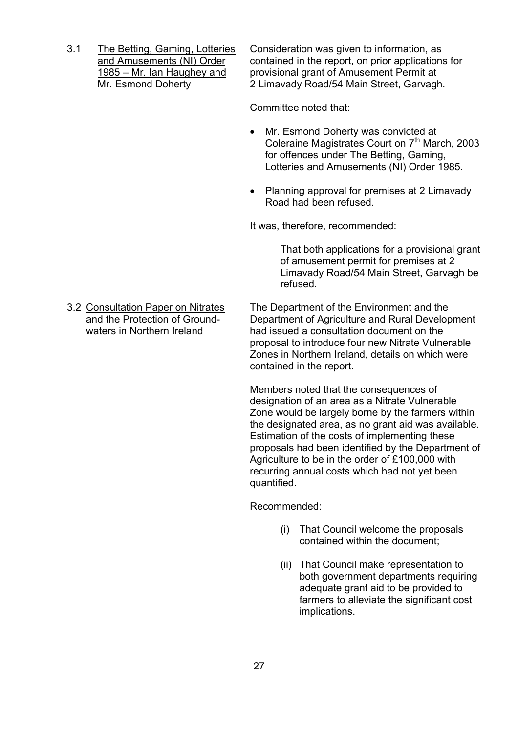3.1 The Betting, Gaming, Lotteries Consideration was given to information, as and Amusements (NI) Order contained in the report, on prior applications for in 1985 – Mr. Ian Haughey and provisional grant of Amusement Permit at provisional grant of Amusement Permit at Mr. Esmond Doherty 2 Limavady Road/54 Main Street, Garvagh.

Committee noted that:

- Mr. Esmond Doherty was convicted at Coleraine Magistrates Court on 7<sup>th</sup> March, 2003 for offences under The Betting, Gaming, Lotteries and Amusements (NI) Order 1985.
- Planning approval for premises at 2 Limavady Road had been refused.

It was, therefore, recommended:

That both applications for a provisional grant of amusement permit for premises at 2 Limavady Road/54 Main Street, Garvagh be refused.

 3.2 Consultation Paper on Nitrates The Department of the Environment and the and the Protection of Ground- Department of Agriculture and Rural Development waters in Northern Ireland had issued a consultation document on the proposal to introduce four new Nitrate Vulnerable Zones in Northern Ireland, details on which were contained in the report.

> Members noted that the consequences of designation of an area as a Nitrate Vulnerable Zone would be largely borne by the farmers within the designated area, as no grant aid was available. Estimation of the costs of implementing these proposals had been identified by the Department of Agriculture to be in the order of £100,000 with recurring annual costs which had not yet been quantified.

Recommended:

- (i) That Council welcome the proposals contained within the document;
- (ii) That Council make representation to both government departments requiring adequate grant aid to be provided to farmers to alleviate the significant cost implications.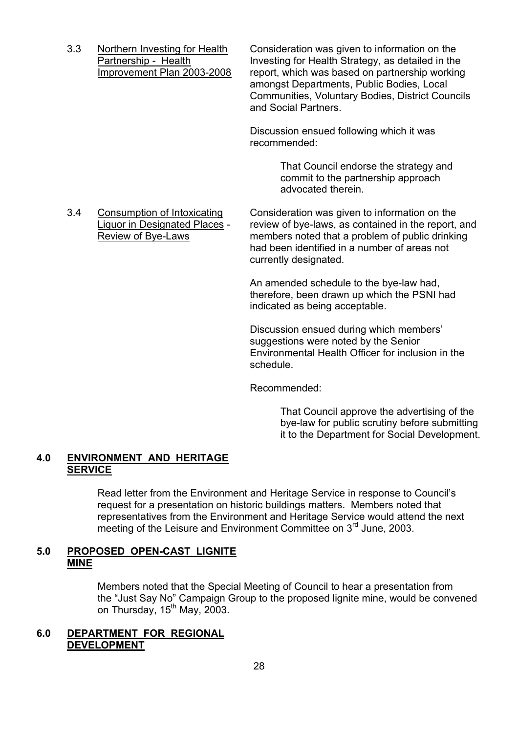3.3 Northern Investing for Health Consideration was given to information on the Partnership - Health Investing for Health Strategy, as detailed in the Improvement Plan 2003-2008 report, which was based on partnership working amongst Departments, Public Bodies, Local Communities, Voluntary Bodies, District Councils and Social Partners.

> Discussion ensued following which it was recommended:

> > That Council endorse the strategy and commit to the partnership approach advocated therein.

 3.4 Consumption of Intoxicating Consideration was given to information on the Liquor in Designated Places - review of bye-laws, as contained in the report, and Review of Bye-Laws members noted that a problem of public drinking had been identified in a number of areas not currently designated.

> An amended schedule to the bye-law had, therefore, been drawn up which the PSNI had indicated as being acceptable.

Discussion ensued during which members' suggestions were noted by the Senior Environmental Health Officer for inclusion in the schedule.

Recommended:

 That Council approve the advertising of the bye-law for public scrutiny before submitting it to the Department for Social Development.

# **4.0 ENVIRONMENT AND HERITAGE SERVICE**

Read letter from the Environment and Heritage Service in response to Councilís request for a presentation on historic buildings matters. Members noted that representatives from the Environment and Heritage Service would attend the next meeting of the Leisure and Environment Committee on 3rd June, 2003.

# **5.0 PROPOSED OPEN-CAST LIGNITE MINE**

Members noted that the Special Meeting of Council to hear a presentation from the "Just Say No" Campaign Group to the proposed lignite mine, would be convened on Thursday,  $15<sup>th</sup>$  May, 2003.

# **6.0 DEPARTMENT FOR REGIONAL DEVELOPMENT**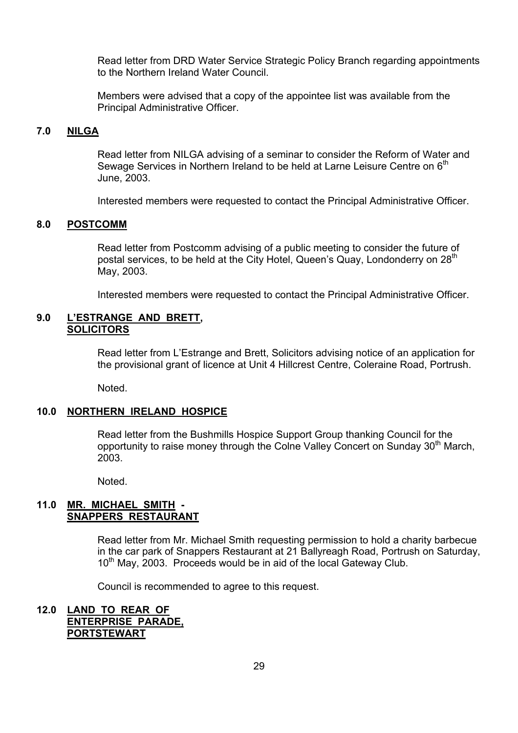Read letter from DRD Water Service Strategic Policy Branch regarding appointments to the Northern Ireland Water Council.

 Members were advised that a copy of the appointee list was available from the Principal Administrative Officer.

# **7.0 NILGA**

 Read letter from NILGA advising of a seminar to consider the Reform of Water and Sewage Services in Northern Ireland to be held at Larne Leisure Centre on 6<sup>th</sup> June, 2003.

Interested members were requested to contact the Principal Administrative Officer.

#### **8.0 POSTCOMM**

 Read letter from Postcomm advising of a public meeting to consider the future of postal services, to be held at the City Hotel, Queen's Quay, Londonderry on 28<sup>th</sup> May, 2003.

Interested members were requested to contact the Principal Administrative Officer.

#### **9.0 LíESTRANGE AND BRETT, SOLICITORS**

Read letter from L'Estrange and Brett, Solicitors advising notice of an application for the provisional grant of licence at Unit 4 Hillcrest Centre, Coleraine Road, Portrush.

Noted.

#### **10.0 NORTHERN IRELAND HOSPICE**

 Read letter from the Bushmills Hospice Support Group thanking Council for the opportunity to raise money through the Colne Valley Concert on Sunday 30<sup>th</sup> March, 2003.

Noted.

#### **11.0 MR. MICHAEL SMITH - SNAPPERS RESTAURANT**

 Read letter from Mr. Michael Smith requesting permission to hold a charity barbecue in the car park of Snappers Restaurant at 21 Ballyreagh Road, Portrush on Saturday, 10<sup>th</sup> May, 2003. Proceeds would be in aid of the local Gateway Club.

Council is recommended to agree to this request.

# **12.0 LAND TO REAR OF ENTERPRISE PARADE, PORTSTEWART**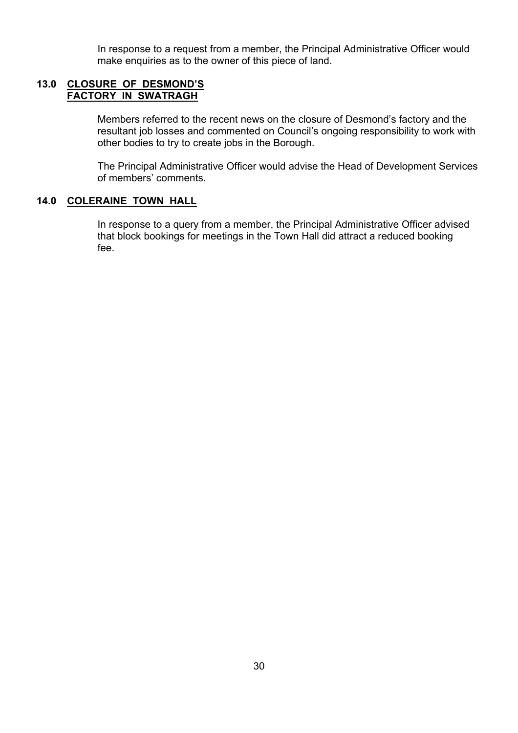In response to a request from a member, the Principal Administrative Officer would make enquiries as to the owner of this piece of land.

#### **13.0 CLOSURE OF DESMONDíS FACTORY IN SWATRAGH**

Members referred to the recent news on the closure of Desmond's factory and the resultant job losses and commented on Council's ongoing responsibility to work with other bodies to try to create jobs in the Borough.

 The Principal Administrative Officer would advise the Head of Development Services of members' comments.

# **14.0 COLERAINE TOWN HALL**

 In response to a query from a member, the Principal Administrative Officer advised that block bookings for meetings in the Town Hall did attract a reduced booking fee.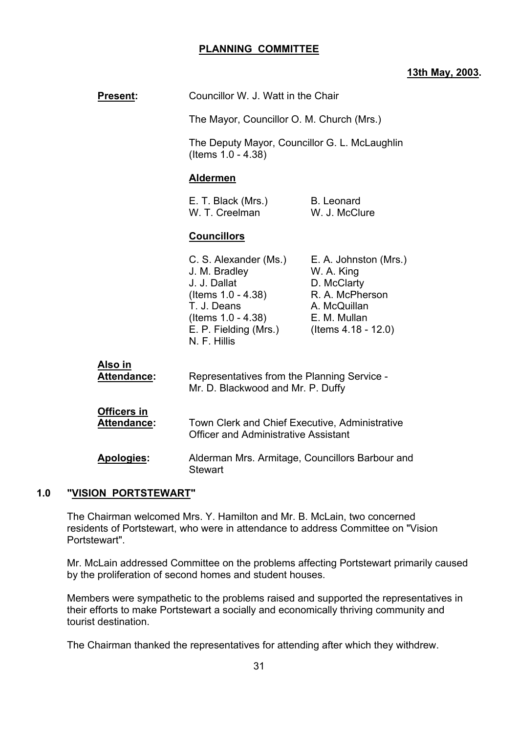# **PLANNING COMMITTEE**

# **13th May, 2003.**

| <b>Present:</b>                   | Councillor W. J. Watt in the Chair                                                                                                                         |                                                                                                                              |  |
|-----------------------------------|------------------------------------------------------------------------------------------------------------------------------------------------------------|------------------------------------------------------------------------------------------------------------------------------|--|
|                                   | The Mayor, Councillor O. M. Church (Mrs.)                                                                                                                  |                                                                                                                              |  |
|                                   | The Deputy Mayor, Councillor G. L. McLaughlin<br>(Items 1.0 - 4.38)                                                                                        |                                                                                                                              |  |
|                                   | <b>Aldermen</b>                                                                                                                                            |                                                                                                                              |  |
|                                   | E. T. Black (Mrs.)<br>W. T. Creelman                                                                                                                       | <b>B.</b> Leonard<br>W. J. McClure                                                                                           |  |
|                                   | <b>Councillors</b>                                                                                                                                         |                                                                                                                              |  |
|                                   | C. S. Alexander (Ms.)<br>J. M. Bradley<br>J. J. Dallat<br>(Items 1.0 - 4.38)<br>T. J. Deans<br>(Items 1.0 - 4.38)<br>E. P. Fielding (Mrs.)<br>N. F. Hillis | E. A. Johnston (Mrs.)<br>W. A. King<br>D. McClarty<br>R. A. McPherson<br>A. McQuillan<br>E. M. Mullan<br>(Items 4.18 - 12.0) |  |
| Also in<br>Attendance:            | Representatives from the Planning Service -<br>Mr. D. Blackwood and Mr. P. Duffy                                                                           |                                                                                                                              |  |
| Officers in<br><b>Attendance:</b> | Town Clerk and Chief Executive, Administrative<br><b>Officer and Administrative Assistant</b>                                                              |                                                                                                                              |  |
| Apologies:                        | Alderman Mrs. Armitage, Councillors Barbour and<br><b>Stewart</b>                                                                                          |                                                                                                                              |  |
| 1.0<br>"VISION PORTSTEWART"       |                                                                                                                                                            |                                                                                                                              |  |

# **1.0 "VISIC**

The Chairman welcomed Mrs. Y. Hamilton and Mr. B. McLain, two concerned residents of Portstewart, who were in attendance to address Committee on "Vision Portstewart".

Mr. McLain addressed Committee on the problems affecting Portstewart primarily caused by the proliferation of second homes and student houses.

Members were sympathetic to the problems raised and supported the representatives in their efforts to make Portstewart a socially and economically thriving community and tourist destination.

The Chairman thanked the representatives for attending after which they withdrew.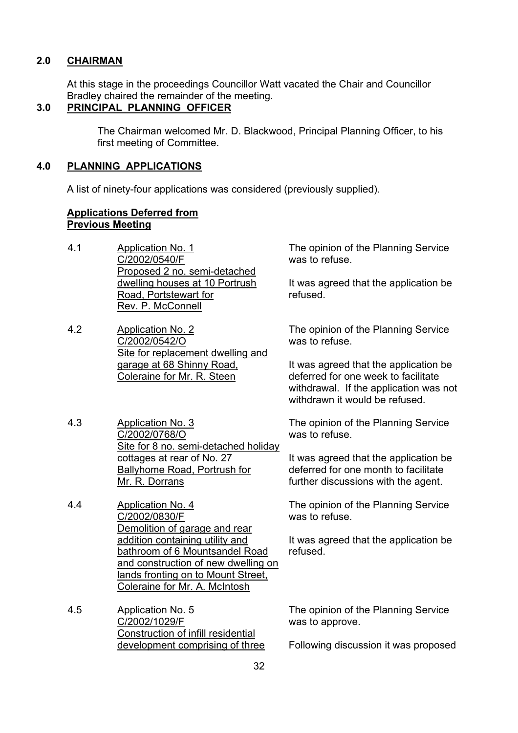# **2.0 CHAIRMAN**

 At this stage in the proceedings Councillor Watt vacated the Chair and Councillor Bradley chaired the remainder of the meeting.

# **3.0 PRINCIPAL PLANNING OFFICER**

 The Chairman welcomed Mr. D. Blackwood, Principal Planning Officer, to his first meeting of Committee.

#### **4.0 PLANNING APPLICATIONS**

A list of ninety-four applications was considered (previously supplied).

#### **Applications Deferred from Previous Meeting**

- 4.1 Application No. 1 C/2002/0540/F Proposed 2 no. semi-detached dwelling houses at 10 Portrush Road, Portstewart for Rev. P. McConnell
- 4.2 Application No. 2 C/2002/0542/O Site for replacement dwelling and garage at 68 Shinny Road, Coleraine for Mr. R. Steen
- 4.3 Application No. 3 C/2002/0768/O Site for 8 no. semi-detached holiday cottages at rear of No. 27 Ballyhome Road, Portrush for Mr. R. Dorrans
- 4.4 Application No. 4 C/2002/0830/F Demolition of garage and rear addition containing utility and bathroom of 6 Mountsandel Road and construction of new dwelling on lands fronting on to Mount Street, Coleraine for Mr. A. McIntosh
- 4.5 Application No. 5 C/2002/1029/F Construction of infill residential development comprising of three

The opinion of the Planning Service was to refuse.

It was agreed that the application be refused.

The opinion of the Planning Service was to refuse.

It was agreed that the application be deferred for one week to facilitate withdrawal. If the application was not withdrawn it would be refused.

The opinion of the Planning Service was to refuse.

It was agreed that the application be deferred for one month to facilitate further discussions with the agent.

The opinion of the Planning Service was to refuse.

It was agreed that the application be refused.

The opinion of the Planning Service was to approve.

Following discussion it was proposed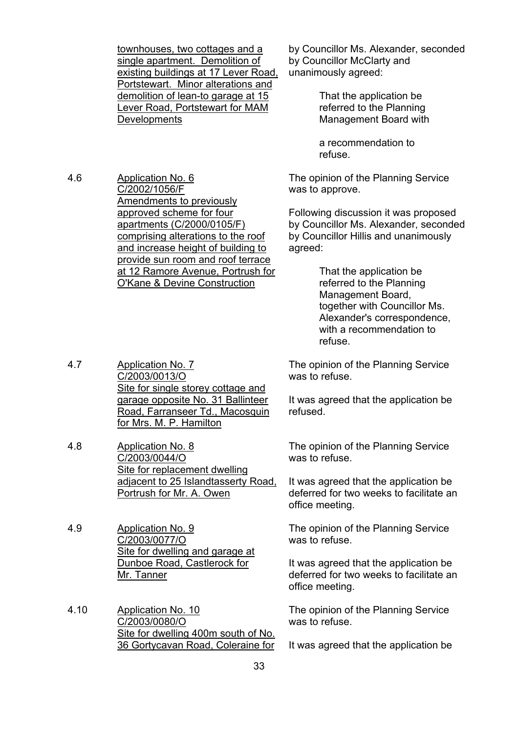townhouses, two cottages and a single apartment. Demolition of existing buildings at 17 Lever Road, Portstewart. Minor alterations and demolition of lean-to garage at 15 Lever Road, Portstewart for MAM **Developments** 

4.6 Application No. 6 C/2002/1056/F Amendments to previously approved scheme for four apartments (C/2000/0105/F) comprising alterations to the roof and increase height of building to provide sun room and roof terrace at 12 Ramore Avenue, Portrush for O'Kane & Devine Construction

by Councillor Ms. Alexander, seconded by Councillor McClarty and unanimously agreed:

> That the application be referred to the Planning Management Board with

 a recommendation to refuse.

The opinion of the Planning Service was to approve.

Following discussion it was proposed by Councillor Ms. Alexander, seconded by Councillor Hillis and unanimously agreed:

> That the application be referred to the Planning Management Board, together with Councillor Ms. Alexander's correspondence, with a recommendation to refuse.

The opinion of the Planning Service was to refuse.

It was agreed that the application be refused.

The opinion of the Planning Service was to refuse.

It was agreed that the application be deferred for two weeks to facilitate an office meeting.

The opinion of the Planning Service was to refuse.

It was agreed that the application be deferred for two weeks to facilitate an office meeting.

The opinion of the Planning Service was to refuse.

It was agreed that the application be

- 4.7 Application No. 7 C/2003/0013/O Site for single storey cottage and garage opposite No. 31 Ballinteer Road, Farranseer Td., Macosquin for Mrs. M. P. Hamilton
- 4.8 Application No. 8 C/2003/0044/O Site for replacement dwelling adjacent to 25 Islandtasserty Road, Portrush for Mr. A. Owen
- 4.9 Application No. 9 C/2003/0077/O Site for dwelling and garage at Dunboe Road, Castlerock for Mr. Tanner
- 4.10 Application No. 10 C/2003/0080/O Site for dwelling 400m south of No. 36 Gortycavan Road, Coleraine for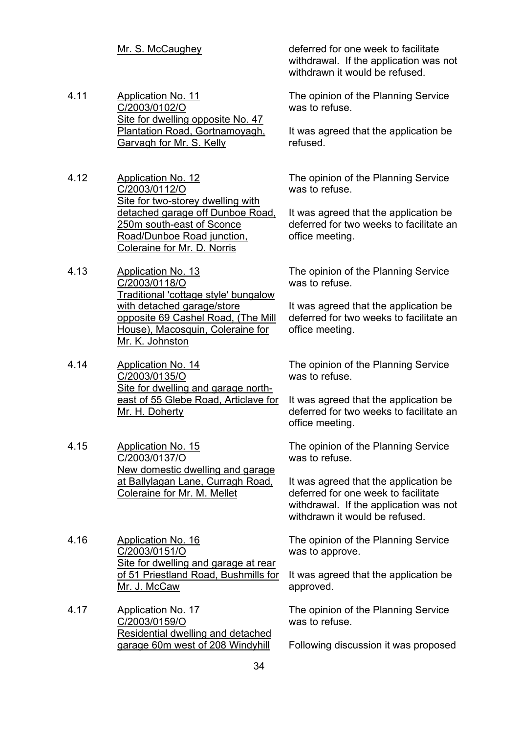- 4.11 Application No. 11 C/2003/0102/O Site for dwelling opposite No. 47 Plantation Road, Gortnamoyagh, Garvagh for Mr. S. Kelly
- 4.12 Application No. 12 C/2003/0112/O Site for two-storey dwelling with detached garage off Dunboe Road, 250m south-east of Sconce Road/Dunboe Road junction, Coleraine for Mr. D. Norris
- 4.13 Application No. 13 C/2003/0118/O Traditional 'cottage style' bungalow with detached garage/store opposite 69 Cashel Road, (The Mill House), Macosquin, Coleraine for Mr. K. Johnston
- 4.14 Application No. 14 C/2003/0135/O Site for dwelling and garage northeast of 55 Glebe Road, Articlave for Mr. H. Doherty
- 4.15 Application No. 15 C/2003/0137/O New domestic dwelling and garage at Ballylagan Lane, Curragh Road, Coleraine for Mr. M. Mellet
- 4.16 Application No. 16 C/2003/0151/O Site for dwelling and garage at rear of 51 Priestland Road, Bushmills for Mr. J. McCaw
- 4.17 Application No. 17 C/2003/0159/O Residential dwelling and detached garage 60m west of 208 Windyhill

Mr. S. McCaughey deferred for one week to facilitate withdrawal. If the application was not withdrawn it would be refused.

> The opinion of the Planning Service was to refuse.

It was agreed that the application be refused.

The opinion of the Planning Service was to refuse.

It was agreed that the application be deferred for two weeks to facilitate an office meeting.

The opinion of the Planning Service was to refuse.

It was agreed that the application be deferred for two weeks to facilitate an office meeting.

The opinion of the Planning Service was to refuse.

It was agreed that the application be deferred for two weeks to facilitate an office meeting.

The opinion of the Planning Service was to refuse.

It was agreed that the application be deferred for one week to facilitate withdrawal. If the application was not withdrawn it would be refused.

The opinion of the Planning Service was to approve.

It was agreed that the application be approved.

The opinion of the Planning Service was to refuse.

Following discussion it was proposed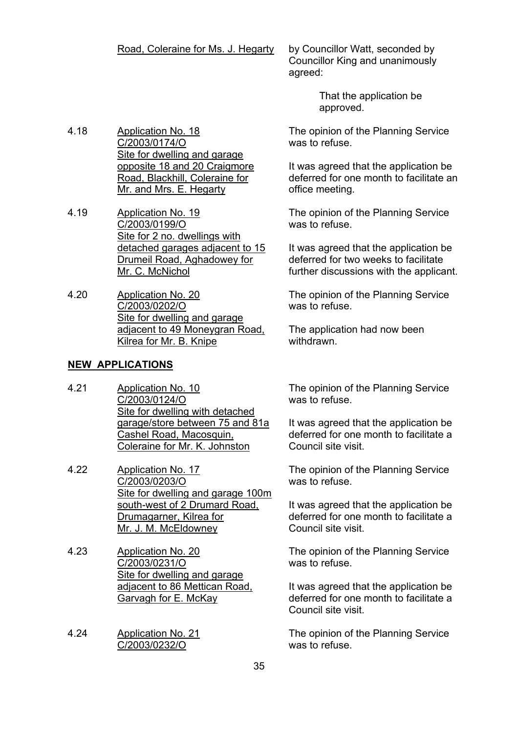#### Road, Coleraine for Ms. J. Hegarty by Councillor Watt, seconded by

Councillor King and unanimously agreed:

> That the application be approved.

The opinion of the Planning Service was to refuse.

It was agreed that the application be deferred for one month to facilitate an office meeting.

The opinion of the Planning Service was to refuse.

It was agreed that the application be deferred for two weeks to facilitate further discussions with the applicant.

The opinion of the Planning Service was to refuse.

The application had now been withdrawn.

**NEW APPLICATIONS**

4.18 Application No. 18

4.19 Application No. 19

4.20 Application No. 20

C/2003/0174/O

C/2003/0199/O

Mr. C. McNichol

C/2003/0202/O

Site for dwelling and garage opposite 18 and 20 Craigmore Road, Blackhill, Coleraine for Mr. and Mrs. E. Hegarty

Site for 2 no. dwellings with

Site for dwelling and garage adjacent to 49 Moneygran Road,

detached garages adjacent to 15 Drumeil Road, Aghadowey for

4.21 Application No. 10 C/2003/0124/O Site for dwelling with detached garage/store between 75 and 81a Cashel Road, Macosquin, Coleraine for Mr. K. Johnston

Kilrea for Mr. B. Knipe

- 4.22 Application No. 17 C/2003/0203/O Site for dwelling and garage 100m south-west of 2 Drumard Road, Drumagarner, Kilrea for Mr. J. M. McEldowney
- 4.23 Application No. 20 C/2003/0231/O Site for dwelling and garage adjacent to 86 Mettican Road, Garvagh for E. McKay
- 4.24 Application No. 21 C/2003/0232/O

The opinion of the Planning Service was to refuse.

It was agreed that the application be deferred for one month to facilitate a Council site visit.

The opinion of the Planning Service was to refuse.

It was agreed that the application be deferred for one month to facilitate a Council site visit.

The opinion of the Planning Service was to refuse.

It was agreed that the application be deferred for one month to facilitate a Council site visit.

The opinion of the Planning Service was to refuse.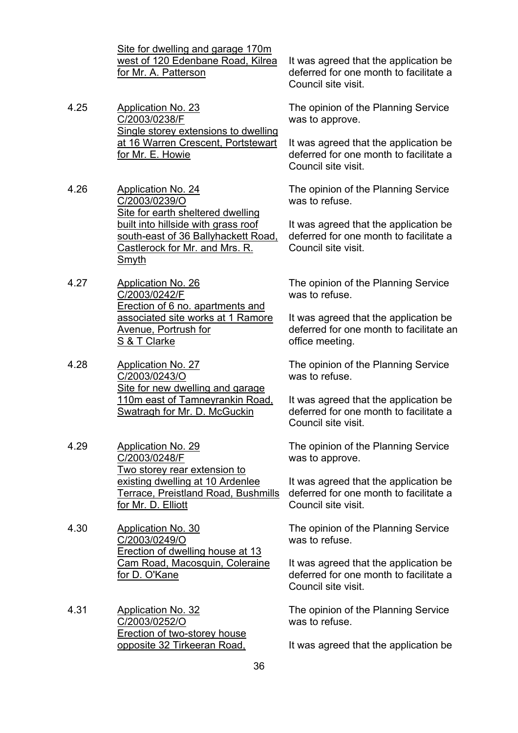Site for dwelling and garage 170m west of 120 Edenbane Road, Kilrea for Mr. A. Patterson

- 4.25 Application No. 23 C/2003/0238/F Single storey extensions to dwelling at 16 Warren Crescent, Portstewart for Mr. E. Howie
- 4.26 Application No. 24 C/2003/0239/O Site for earth sheltered dwelling built into hillside with grass roof south-east of 36 Ballyhackett Road, Castlerock for Mr. and Mrs. R. Smyth
- 4.27 Application No. 26 C/2003/0242/F Erection of 6 no. apartments and associated site works at 1 Ramore Avenue, Portrush for S & T Clarke
- 4.28 Application No. 27 C/2003/0243/O Site for new dwelling and garage 110m east of Tamneyrankin Road, Swatragh for Mr. D. McGuckin
- 4.29 Application No. 29 C/2003/0248/F Two storey rear extension to existing dwelling at 10 Ardenlee Terrace, Preistland Road, Bushmills for Mr. D. Elliott
- 4.30 Application No. 30 C/2003/0249/O Erection of dwelling house at 13 Cam Road, Macosquin, Coleraine for D. O'Kane
- 4.31 Application No. 32 C/2003/0252/O Erection of two-storey house opposite 32 Tirkeeran Road,

It was agreed that the application be deferred for one month to facilitate a Council site visit.

The opinion of the Planning Service was to approve.

It was agreed that the application be deferred for one month to facilitate a Council site visit.

The opinion of the Planning Service was to refuse.

It was agreed that the application be deferred for one month to facilitate a Council site visit.

The opinion of the Planning Service was to refuse.

It was agreed that the application be deferred for one month to facilitate an office meeting.

The opinion of the Planning Service was to refuse.

It was agreed that the application be deferred for one month to facilitate a Council site visit.

The opinion of the Planning Service was to approve.

It was agreed that the application be deferred for one month to facilitate a Council site visit.

The opinion of the Planning Service was to refuse.

It was agreed that the application be deferred for one month to facilitate a Council site visit.

The opinion of the Planning Service was to refuse.

It was agreed that the application be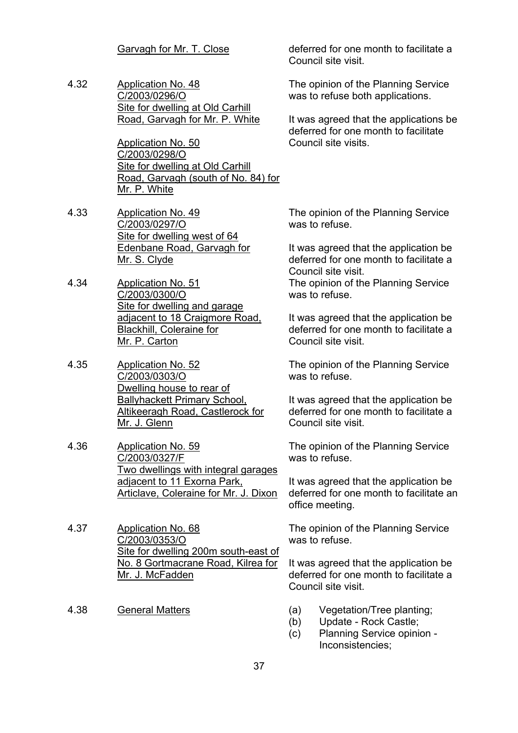4.32 Application No. 48 C/2003/0296/O Site for dwelling at Old Carhill Road, Garvagh for Mr. P. White

> Application No. 50 C/2003/0298/O Site for dwelling at Old Carhill Road, Garvagh (south of No. 84) for Mr. P. White

- 4.33 Application No. 49 C/2003/0297/O Site for dwelling west of 64 Edenbane Road, Garvagh for Mr. S. Clyde
- 4.34 Application No. 51 C/2003/0300/O Site for dwelling and garage adjacent to 18 Craigmore Road, Blackhill, Coleraine for Mr. P. Carton
- 4.35 Application No. 52 C/2003/0303/O Dwelling house to rear of Ballyhackett Primary School, Altikeeragh Road, Castlerock for Mr. J. Glenn
- 4.36 Application No. 59 C/2003/0327/F Two dwellings with integral garages adjacent to 11 Exorna Park, Articlave, Coleraine for Mr. J. Dixon
- 4.37 Application No. 68 C/2003/0353/O Site for dwelling 200m south-east of No. 8 Gortmacrane Road, Kilrea for Mr. J. McFadden
- 

Garvagh for Mr. T. Close deferred for one month to facilitate a Council site visit.

> The opinion of the Planning Service was to refuse both applications.

It was agreed that the applications be deferred for one month to facilitate Council site visits.

The opinion of the Planning Service was to refuse.

It was agreed that the application be deferred for one month to facilitate a Council site visit. The opinion of the Planning Service was to refuse.

It was agreed that the application be deferred for one month to facilitate a Council site visit.

The opinion of the Planning Service was to refuse.

It was agreed that the application be deferred for one month to facilitate a Council site visit.

The opinion of the Planning Service was to refuse.

It was agreed that the application be deferred for one month to facilitate an office meeting.

The opinion of the Planning Service was to refuse.

It was agreed that the application be deferred for one month to facilitate a Council site visit.

- 4.38 General Matters (a) Vegetation/Tree planting;
	- (b) Update Rock Castle;
	- (c) Planning Service opinion Inconsistencies;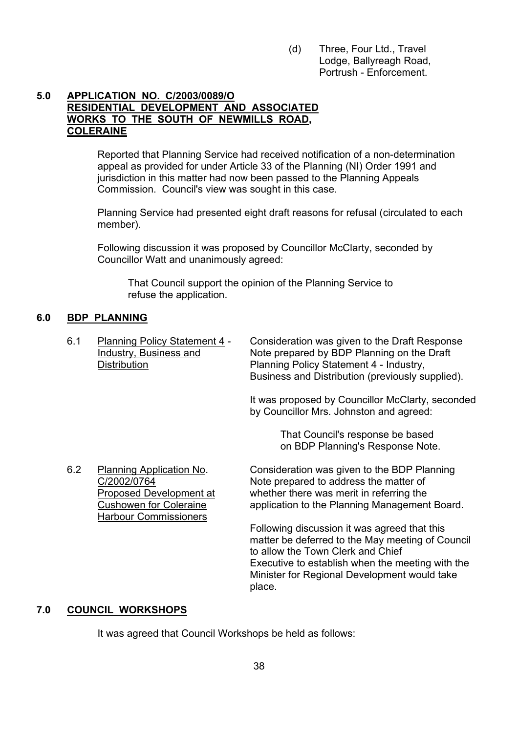(d) Three, Four Ltd., Travel Lodge, Ballyreagh Road, Portrush - Enforcement.

#### **5.0 APPLICATION NO. C/2003/0089/O RESIDENTIAL DEVELOPMENT AND ASSOCIATED WORKS TO THE SOUTH OF NEWMILLS ROAD, COLERAINE**

 Reported that Planning Service had received notification of a non-determination appeal as provided for under Article 33 of the Planning (NI) Order 1991 and jurisdiction in this matter had now been passed to the Planning Appeals Commission. Council's view was sought in this case.

Planning Service had presented eight draft reasons for refusal (circulated to each member).

Following discussion it was proposed by Councillor McClarty, seconded by Councillor Watt and unanimously agreed:

 That Council support the opinion of the Planning Service to refuse the application.

# **6.0 BDP PLANNING**

 6.1 Planning Policy Statement 4 - Consideration was given to the Draft Response Industry, Business and Note prepared by BDP Planning on the Draft Distribution **Planning Policy Statement 4 - Industry,** Business and Distribution (previously supplied).

> It was proposed by Councillor McClarty, seconded by Councillor Mrs. Johnston and agreed:

> > That Council's response be based on BDP Planning's Response Note.

6.2 Planning Application No. Consideration was given to the BDP Planning C/2002/0764 Note prepared to address the matter of Proposed Development at whether there was merit in referring the Cushowen for Coleraine application to the Planning Management Board. Harbour Commissioners Following discussion it was agreed that this

matter be deferred to the May meeting of Council to allow the Town Clerk and Chief Executive to establish when the meeting with the Minister for Regional Development would take place.

# **7.0 COUNCIL WORKSHOPS**

It was agreed that Council Workshops be held as follows: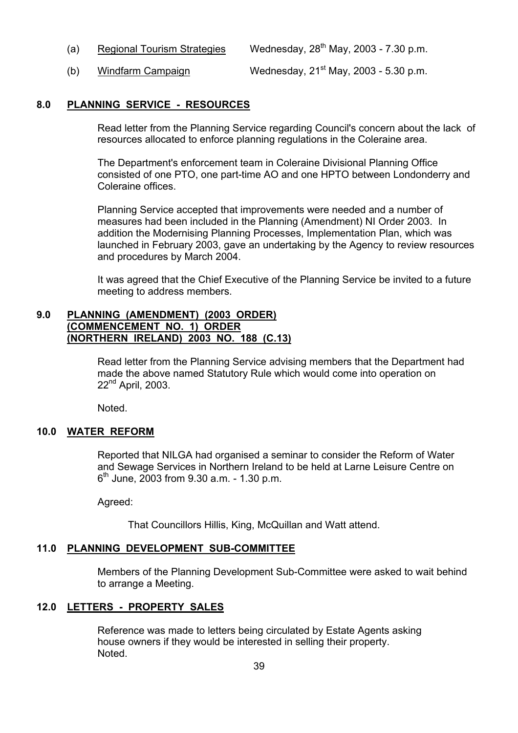- (a) Regional Tourism Strategies Wednesday,  $28<sup>th</sup>$  May, 2003 7.30 p.m.
- (b) Windfarm Campaign Wednesday,  $21<sup>st</sup>$  May,  $2003 5.30$  p.m.

#### **8.0 PLANNING SERVICE - RESOURCES**

Read letter from the Planning Service regarding Council's concern about the lack of resources allocated to enforce planning regulations in the Coleraine area.

The Department's enforcement team in Coleraine Divisional Planning Office consisted of one PTO, one part-time AO and one HPTO between Londonderry and Coleraine offices.

Planning Service accepted that improvements were needed and a number of measures had been included in the Planning (Amendment) NI Order 2003. In addition the Modernising Planning Processes, Implementation Plan, which was launched in February 2003, gave an undertaking by the Agency to review resources and procedures by March 2004.

It was agreed that the Chief Executive of the Planning Service be invited to a future meeting to address members.

#### **9.0 PLANNING (AMENDMENT) (2003 ORDER) (COMMENCEMENT NO. 1) ORDER (NORTHERN IRELAND) 2003 NO. 188 (C.13)**

Read letter from the Planning Service advising members that the Department had made the above named Statutory Rule which would come into operation on 22<sup>nd</sup> April, 2003.

Noted.

#### **10.0 WATER REFORM**

 Reported that NILGA had organised a seminar to consider the Reform of Water and Sewage Services in Northern Ireland to be held at Larne Leisure Centre on  $6<sup>th</sup>$  June, 2003 from 9.30 a.m. - 1.30 p.m.

Agreed:

That Councillors Hillis, King, McQuillan and Watt attend.

#### **11.0 PLANNING DEVELOPMENT SUB-COMMITTEE**

 Members of the Planning Development Sub-Committee were asked to wait behind to arrange a Meeting.

# **12.0 LETTERS - PROPERTY SALES**

 Reference was made to letters being circulated by Estate Agents asking house owners if they would be interested in selling their property. **Noted**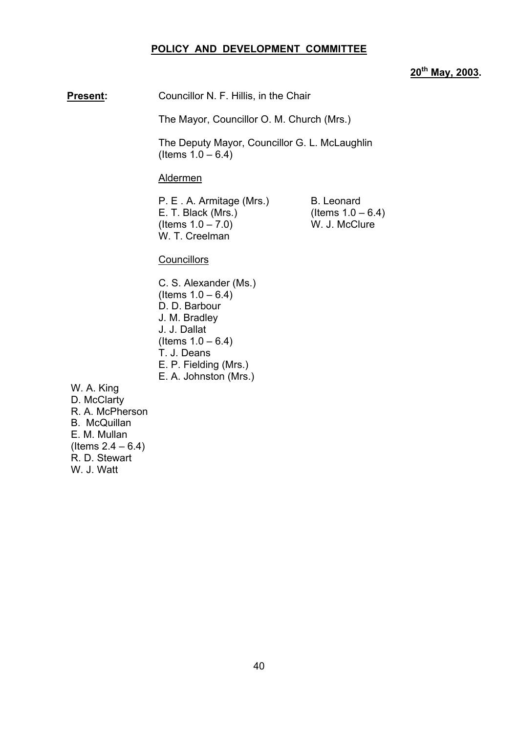#### **POLICY AND DEVELOPMENT COMMITTEE**

# **20th May, 2003.**

**Present:** Councillor N. F. Hillis, in the Chair

The Mayor, Councillor O. M. Church (Mrs.)

 The Deputy Mayor, Councillor G. L. McLaughlin  $($  Items  $1.0 - 6.4)$ 

Aldermen

P. E. A. Armitage (Mrs.) B. Leonard E. T. Black (Mrs.) (Items  $1.0 - 6.4$ )<br>(Items  $1.0 - 7.0$ ) W. J. McClure  $($  Items  $1.0 - 7.0$ ) W. T. Creelman

#### **Councillors**

C. S. Alexander (Ms.)  $($  Items  $1.0 - 6.4)$ D. D. Barbour J. M. Bradley J. J. Dallat  $($  ltems  $1.0 - 6.4)$ T. J. Deans E. P. Fielding (Mrs.) E. A. Johnston (Mrs.)

 W. A. King D. McClarty R. A. McPherson B. McQuillan E. M. Mullan  $($  ltems  $2.4 - 6.4)$ R. D. Stewart W. J. Watt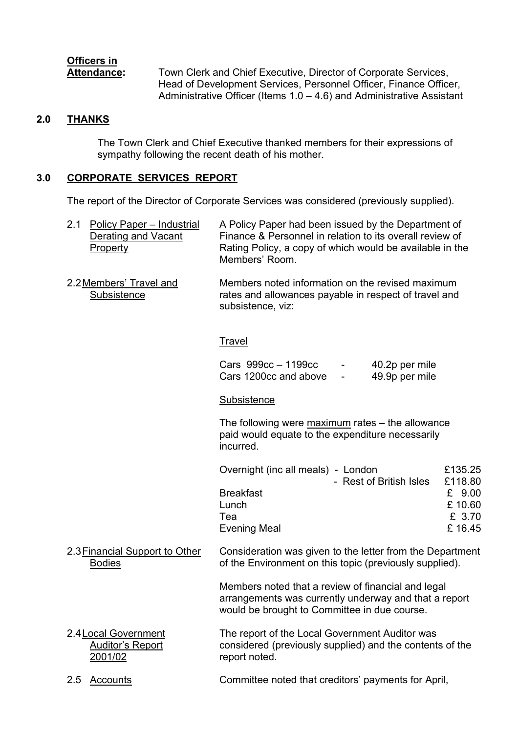# **Officers in**

Attendance: Town Clerk and Chief Executive, Director of Corporate Services, Head of Development Services, Personnel Officer, Finance Officer, Administrative Officer (Items  $1.0 - 4.6$ ) and Administrative Assistant

# **2.0 THANKS**

 The Town Clerk and Chief Executive thanked members for their expressions of sympathy following the recent death of his mother.

# **3.0 CORPORATE SERVICES REPORT**

The report of the Director of Corporate Services was considered (previously supplied).

|  | 2.1 Policy Paper – Industrial<br>Derating and Vacant<br>Property | A Policy Paper had been issued by the Department of<br>Finance & Personnel in relation to its overall review of<br>Rating Policy, a copy of which would be available in the<br>Members' Room. |
|--|------------------------------------------------------------------|-----------------------------------------------------------------------------------------------------------------------------------------------------------------------------------------------|
|--|------------------------------------------------------------------|-----------------------------------------------------------------------------------------------------------------------------------------------------------------------------------------------|

2.2 Members' Travel and Members noted information on the revised maximum Subsistence **rates and allowances payable in respect of travel and** subsistence, viz:

# **Travel**

| Cars 999cc – 1199cc   | 40.2p per mile |
|-----------------------|----------------|
| Cars 1200cc and above | 49.9p per mile |

# **Subsistence**

The following were  $maximum$  rates  $-$  the allowance paid would equate to the expenditure necessarily incurred.

| £135.25 |
|---------|
| £118.80 |
| £ 9.00  |
| £10.60  |
| £ 3.70  |
| £16.45  |
|         |

2.3 Financial Support to Other Consideration was given to the letter from the Department Bodies of the Environment on this topic (previously supplied).

> Members noted that a review of financial and legal arrangements was currently underway and that a report would be brought to Committee in due course.

- 2.4 Local Government The report of the Local Government Auditor was Auditor's Report considered (previously supplied) and the contents of the 2001/02 report noted.
- 2.5 Accounts Committee noted that creditorsí payments for April,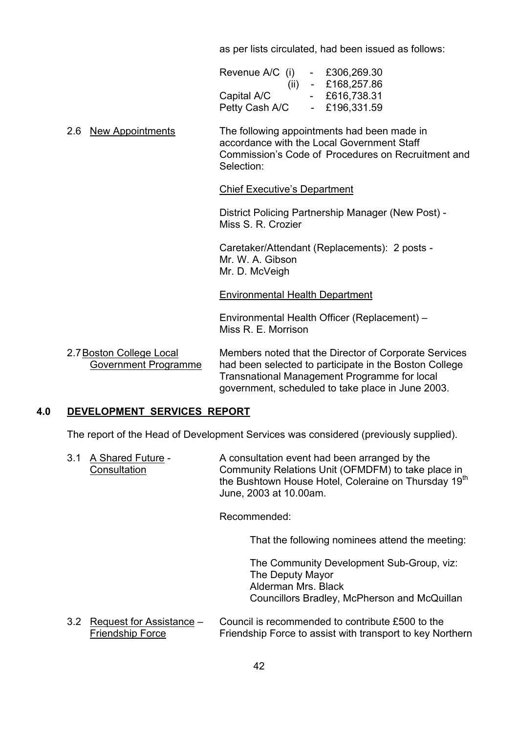as per lists circulated, had been issued as follows:

| Revenue A/C (i) | $\overline{\phantom{0}}$ | £306,269.30 |
|-----------------|--------------------------|-------------|
| (ii)            | $\sim$                   | £168,257.86 |
| Capital A/C     |                          | £616,738.31 |
| Petty Cash A/C  |                          | £196,331.59 |

 2.6 New Appointments The following appointments had been made in accordance with the Local Government Staff Commission's Code of Procedures on Recruitment and Selection:

#### **Chief Executive's Department**

 District Policing Partnership Manager (New Post) - Miss S. R. Crozier

 Caretaker/Attendant (Replacements): 2 posts - Mr. W. A. Gibson Mr. D. McVeigh

#### Environmental Health Department

Environmental Health Officer (Replacement) – Miss R. E. Morrison

2.7 Boston College Local Members noted that the Director of Corporate Services Government Programme had been selected to participate in the Boston College Transnational Management Programme for local government, scheduled to take place in June 2003.

# **4.0 DEVELOPMENT SERVICES REPORT**

The report of the Head of Development Services was considered (previously supplied).

3.1 A Shared Future - A consultation event had been arranged by the Consultation Community Relations Unit (OFMDFM) to take place in the Bushtown House Hotel, Coleraine on Thursday 19<sup>th</sup> June, 2003 at 10.00am.

Recommended:

That the following nominees attend the meeting:

 The Community Development Sub-Group, viz: The Deputy Mayor Alderman Mrs. Black Councillors Bradley, McPherson and McQuillan

3.2 Request for Assistance  $-$  Council is recommended to contribute £500 to the Friendship Force Friendship Force to assist with transport to key Northern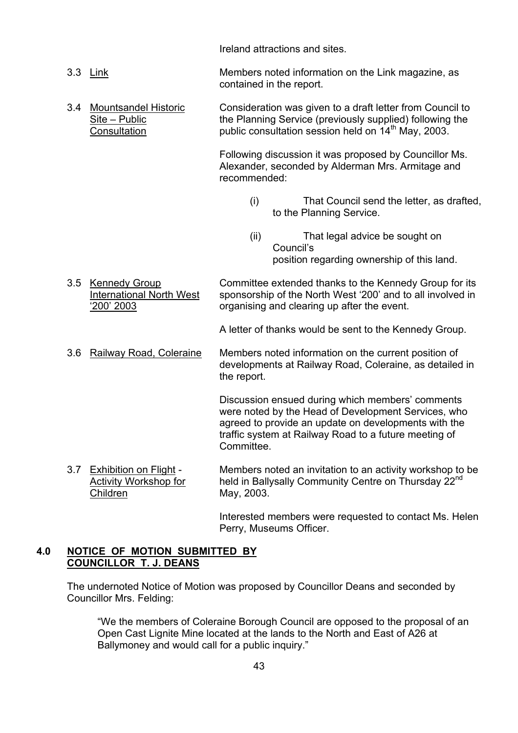Ireland attractions and sites.

- 3.3 Link Members noted information on the Link magazine, as contained in the report.
- 3.4 Mountsandel Historic Consideration was given to a draft letter from Council to  $\frac{\text{Site} - \text{Public}}{\text{Consultation}}$  the Planning Service (previously supplied) following the public consultation session held on 14<sup>th</sup> May, 2003.

 Following discussion it was proposed by Councillor Ms. Alexander, seconded by Alderman Mrs. Armitage and recommended:

- (i) That Council send the letter, as drafted, to the Planning Service.
- (ii) That legal advice be sought on Council's position regarding ownership of this land.
- 3.5 Kennedy Group Committee extended thanks to the Kennedy Group for its International North West sponsorship of the North West '200' and to all involved in ë200í 2003 organising and clearing up after the event.

A letter of thanks would be sent to the Kennedy Group.

3.6 Railway Road, Coleraine Members noted information on the current position of developments at Railway Road, Coleraine, as detailed in the report.

> Discussion ensued during which members' comments were noted by the Head of Development Services, who agreed to provide an update on developments with the traffic system at Railway Road to a future meeting of **Committee**

3.7 Exhibition on Flight - Members noted an invitation to an activity workshop to be Activity Workshop for held in Ballysally Community Centre on Thursday 22<sup>nd</sup> Children May, 2003.

> Interested members were requested to contact Ms. Helen Perry, Museums Officer.

# **4.0 NOTICE OF MOTION SUBMITTED BY COUNCILLOR T. J. DEANS**

 The undernoted Notice of Motion was proposed by Councillor Deans and seconded by Councillor Mrs. Felding:

ìWe the members of Coleraine Borough Council are opposed to the proposal of an Open Cast Lignite Mine located at the lands to the North and East of A26 at Ballymoney and would call for a public inquiry."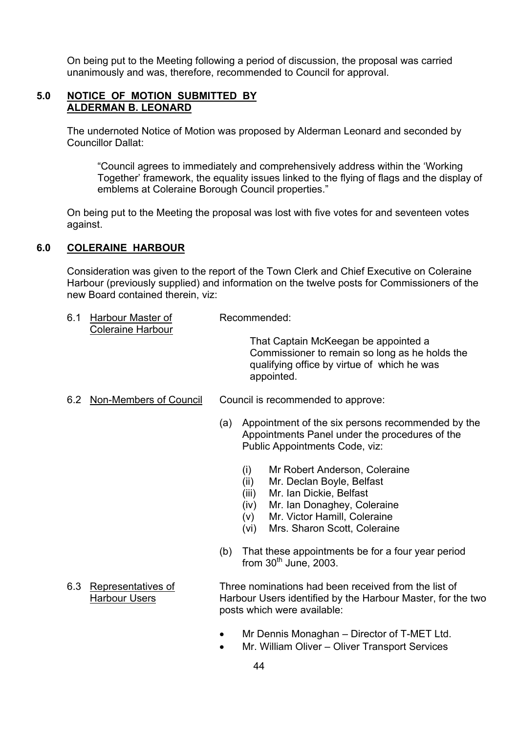On being put to the Meeting following a period of discussion, the proposal was carried unanimously and was, therefore, recommended to Council for approval.

## **5.0 NOTICE OF MOTION SUBMITTED BY ALDERMAN B. LEONARD**

 The undernoted Notice of Motion was proposed by Alderman Leonard and seconded by Councillor Dallat:

ìCouncil agrees to immediately and comprehensively address within the ëWorking Together' framework, the equality issues linked to the flying of flags and the display of emblems at Coleraine Borough Council properties."

 On being put to the Meeting the proposal was lost with five votes for and seventeen votes against.

# **6.0 COLERAINE HARBOUR**

Consideration was given to the report of the Town Clerk and Chief Executive on Coleraine Harbour (previously supplied) and information on the twelve posts for Commissioners of the new Board contained therein, viz:

6.1 Harbour Master of Recommended: Coleraine Harbour

> That Captain McKeegan be appointed a Commissioner to remain so long as he holds the qualifying office by virtue of which he was appointed.

- 6.2 Non-Members of Council Council is recommended to approve:
	- (a) Appointment of the six persons recommended by the Appointments Panel under the procedures of the Public Appointments Code, viz:
		- (i) Mr Robert Anderson, Coleraine
		- (ii) Mr. Declan Boyle, Belfast
		- (iii) Mr. Ian Dickie, Belfast
		- (iv) Mr. Ian Donaghey, Coleraine
		- (v) Mr. Victor Hamill, Coleraine
		- (vi) Mrs. Sharon Scott, Coleraine
	- (b) That these appointments be for a four year period from  $30<sup>th</sup>$  June, 2003.
- 6.3 Representatives of Three nominations had been received from the list of Harbour Users **Harbour Users identified by the Harbour Master, for the two**  posts which were available:
	- Mr Dennis Monaghan Director of T-MET Ltd.
	- Mr. William Oliver Oliver Transport Services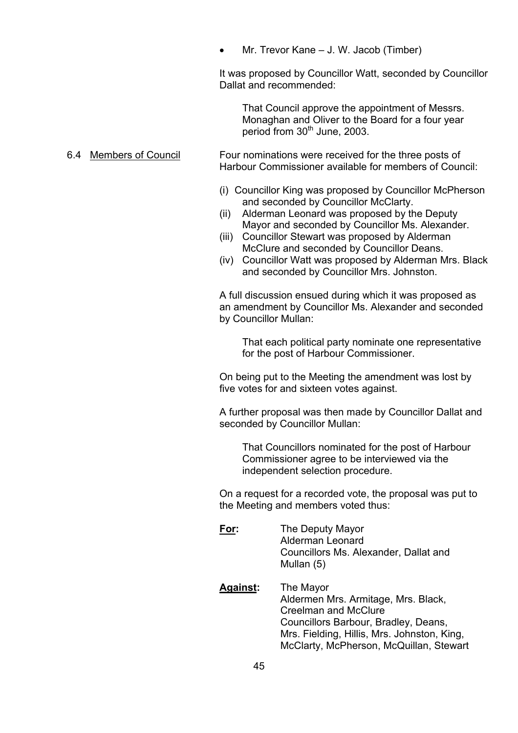Mr. Trevor Kane – J. W. Jacob (Timber)

 It was proposed by Councillor Watt, seconded by Councillor Dallat and recommended:

 That Council approve the appointment of Messrs. Monaghan and Oliver to the Board for a four year period from 30<sup>th</sup> June, 2003.

 6.4 Members of Council Four nominations were received for the three posts of Harbour Commissioner available for members of Council:

- (i) Councillor King was proposed by Councillor McPherson and seconded by Councillor McClarty.
- (ii) Alderman Leonard was proposed by the Deputy Mayor and seconded by Councillor Ms. Alexander.
- (iii) Councillor Stewart was proposed by Alderman McClure and seconded by Councillor Deans.
- (iv) Councillor Watt was proposed by Alderman Mrs. Black and seconded by Councillor Mrs. Johnston.

A full discussion ensued during which it was proposed as an amendment by Councillor Ms. Alexander and seconded by Councillor Mullan:

 That each political party nominate one representative for the post of Harbour Commissioner.

On being put to the Meeting the amendment was lost by five votes for and sixteen votes against.

A further proposal was then made by Councillor Dallat and seconded by Councillor Mullan:

 That Councillors nominated for the post of Harbour Commissioner agree to be interviewed via the independent selection procedure.

 On a request for a recorded vote, the proposal was put to the Meeting and members voted thus:

- **For:** The Deputy Mayor Alderman Leonard Councillors Ms. Alexander, Dallat and Mullan (5)
- **Against:** The Mayor Aldermen Mrs. Armitage, Mrs. Black, Creelman and McClure Councillors Barbour, Bradley, Deans, Mrs. Fielding, Hillis, Mrs. Johnston, King, McClarty, McPherson, McQuillan, Stewart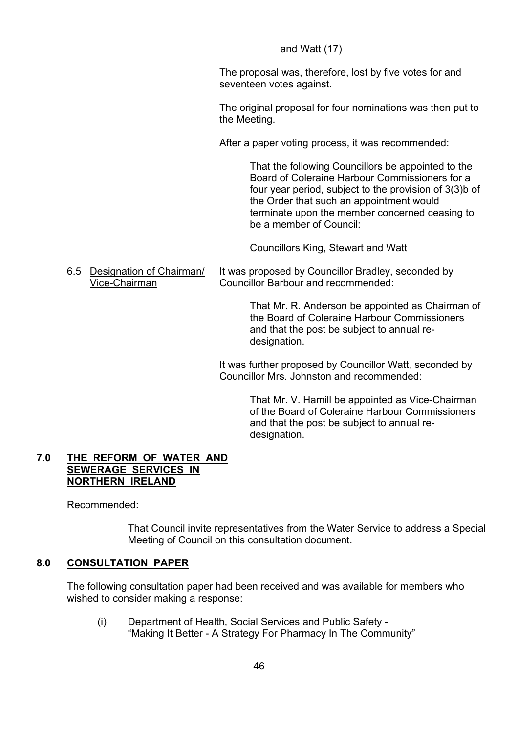# and Watt (17)

 The proposal was, therefore, lost by five votes for and seventeen votes against.

 The original proposal for four nominations was then put to the Meeting.

After a paper voting process, it was recommended:

 That the following Councillors be appointed to the Board of Coleraine Harbour Commissioners for a four year period, subject to the provision of 3(3)b of the Order that such an appointment would terminate upon the member concerned ceasing to be a member of Council:

Councillors King, Stewart and Watt

 6.5 Designation of Chairman/ It was proposed by Councillor Bradley, seconded by Vice-Chairman Councillor Barbour and recommended:

> That Mr. R. Anderson be appointed as Chairman of the Board of Coleraine Harbour Commissioners and that the post be subject to annual re designation.

 It was further proposed by Councillor Watt, seconded by Councillor Mrs. Johnston and recommended:

> That Mr. V. Hamill be appointed as Vice-Chairman of the Board of Coleraine Harbour Commissioners and that the post be subject to annual re designation.

## **7.0 THE REFORM OF WATER AND SEWERAGE SERVICES IN NORTHERN IRELAND**

Recommended:

 That Council invite representatives from the Water Service to address a Special Meeting of Council on this consultation document.

# **8.0 CONSULTATION PAPER**

The following consultation paper had been received and was available for members who wished to consider making a response:

 (i) Department of Health, Social Services and Public Safety - "Making It Better - A Strategy For Pharmacy In The Community"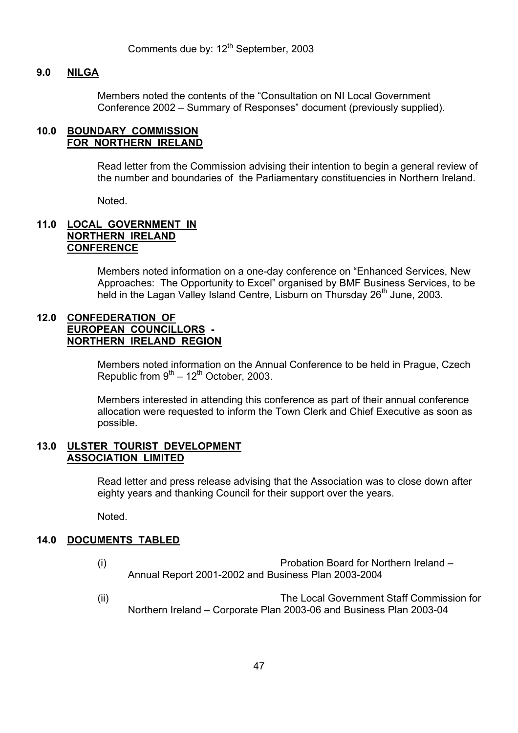Comments due by: 12<sup>th</sup> September, 2003

#### **9.0 NILGA**

Members noted the contents of the "Consultation on NI Local Government Conference 2002 – Summary of Responses" document (previously supplied).

#### **10.0 BOUNDARY COMMISSION FOR NORTHERN IRELAND**

 Read letter from the Commission advising their intention to begin a general review of the number and boundaries of the Parliamentary constituencies in Northern Ireland.

Noted.

# **11.0 LOCAL GOVERNMENT IN NORTHERN IRELAND CONFERENCE**

Members noted information on a one-day conference on "Enhanced Services, New Approaches: The Opportunity to Excel" organised by BMF Business Services, to be held in the Lagan Valley Island Centre, Lisburn on Thursday 26<sup>th</sup> June, 2003.

#### **12.0 CONFEDERATION OF EUROPEAN COUNCILLORS - NORTHERN IRELAND REGION**

 Members noted information on the Annual Conference to be held in Prague, Czech Republic from  $9<sup>th</sup> - 12<sup>th</sup>$  October, 2003.

 Members interested in attending this conference as part of their annual conference allocation were requested to inform the Town Clerk and Chief Executive as soon as possible.

#### **13.0 ULSTER TOURIST DEVELOPMENT ASSOCIATION LIMITED**

 Read letter and press release advising that the Association was to close down after eighty years and thanking Council for their support over the years.

Noted.

## **14.0 DOCUMENTS TABLED**

- (i) Probation Board for Northern Ireland Annual Report 2001-2002 and Business Plan 2003-2004
- (ii) The Local Government Staff Commission for Northern Ireland – Corporate Plan 2003-06 and Business Plan 2003-04